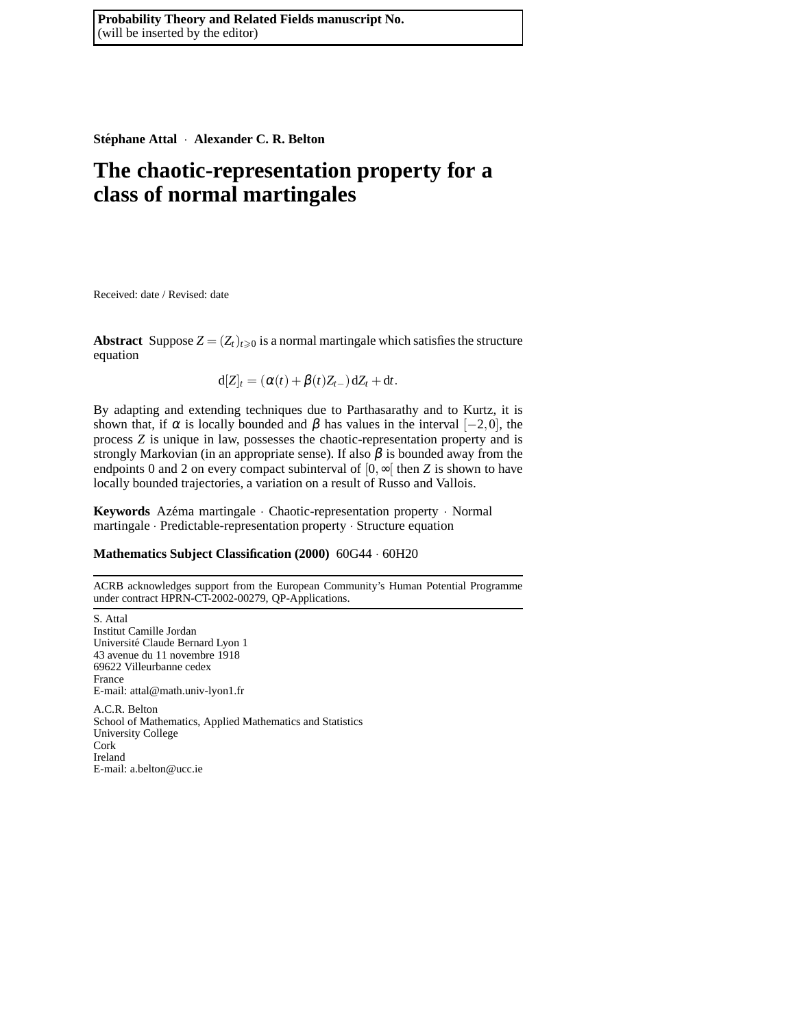**Stephane Attal ´** · **Alexander C. R. Belton**

# **The chaotic-representation property for a class of normal martingales**

Received: date / Revised: date

**Abstract** Suppose  $Z = (Z_t)_{t \geq 0}$  is a normal martingale which satisfies the structure equation

 $d[Z]_t = (\alpha(t) + \beta(t)Z_{t-})dZ_t + dt.$ 

By adapting and extending techniques due to Parthasarathy and to Kurtz, it is shown that, if  $\alpha$  is locally bounded and  $\beta$  has values in the interval  $[-2,0]$ , the process *Z* is unique in law, possesses the chaotic-representation property and is strongly Markovian (in an appropriate sense). If also  $\beta$  is bounded away from the endpoints 0 and 2 on every compact subinterval of  $[0, \infty]$  then *Z* is shown to have locally bounded trajectories, a variation on a result of Russo and Vallois.

Keywords Azéma martingale · Chaotic-representation property · Normal martingale · Predictable-representation property · Structure equation

# **Mathematics Subject Classification (2000)** 60G44 · 60H20

ACRB acknowledges support from the European Community's Human Potential Programme under contract HPRN-CT-2002-00279, QP-Applications.

S. Attal Institut Camille Jordan Université Claude Bernard Lyon 1 43 avenue du 11 novembre 1918 69622 Villeurbanne cedex France E-mail: attal@math.univ-lyon1.fr A.C.R. Belton School of Mathematics, Applied Mathematics and Statistics University College Cork Ireland E-mail: a.belton@ucc.ie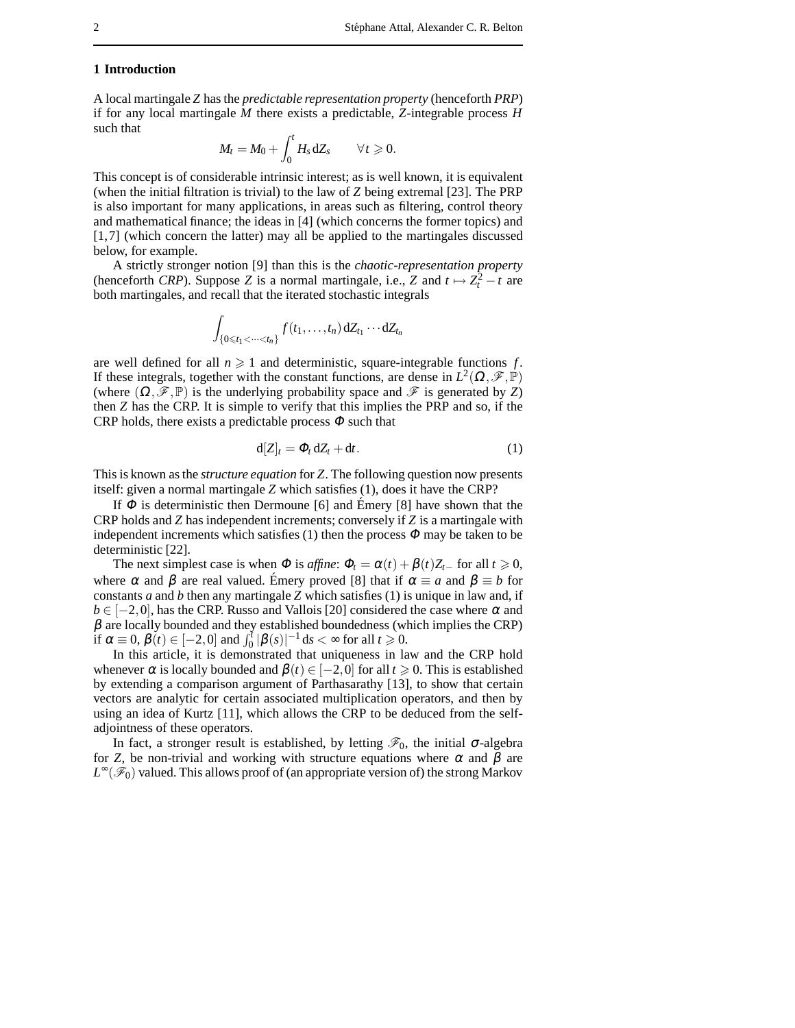### **1 Introduction**

A local martingale *Z* has the *predictable representation property* (henceforth *PRP*) if for any local martingale *M* there exists a predictable, *Z*-integrable process *H* such that

$$
M_t = M_0 + \int_0^t H_s dZ_s \qquad \forall t \geq 0.
$$

This concept is of considerable intrinsic interest; as is well known, it is equivalent (when the initial filtration is trivial) to the law of *Z* being extremal [23]. The PRP is also important for many applications, in areas such as filtering, control theory and mathematical finance; the ideas in [4] (which concerns the former topics) and [1,7] (which concern the latter) may all be applied to the martingales discussed below, for example.

A strictly stronger notion [9] than this is the *chaotic-representation property* (henceforth *CRP*). Suppose *Z* is a normal martingale, i.e., *Z* and  $t \mapsto Z_t^2 - t$  are both martingales, and recall that the iterated stochastic integrals

$$
\int_{\{0\leq t_1<\cdots
$$

are well defined for all  $n \geq 1$  and deterministic, square-integrable functions f. If these integrals, together with the constant functions, are dense in  $L^2(\Omega,\mathscr{F},\mathbb{P})$ (where  $(\Omega, \mathscr{F}, \mathbb{P})$  is the underlying probability space and  $\mathscr{F}$  is generated by *Z*) then *Z* has the CRP. It is simple to verify that this implies the PRP and so, if the CRP holds, there exists a predictable process  $\Phi$  such that

$$
d[Z]_t = \Phi_t dZ_t + dt. \tag{1}
$$

This is known as the *structure equation* for *Z*. The following question now presents itself: given a normal martingale *Z* which satisfies (1), does it have the CRP?

If  $\Phi$  is deterministic then Dermoune [6] and Emery [8] have shown that the CRP holds and *Z* has independent increments; conversely if *Z* is a martingale with independent increments which satisfies (1) then the process  $\Phi$  may be taken to be deterministic [22].

The next simplest case is when  $\Phi$  is *affine*:  $\Phi_t = \alpha(t) + \beta(t)Z_{t-}$  for all  $t \ge 0$ , where  $\alpha$  and  $\beta$  are real valued. Emery proved [8] that if  $\alpha \equiv a$  and  $\beta \equiv b$  for constants *a* and *b* then any martingale *Z* which satisfies (1) is unique in law and, if  $b \in [-2,0]$ , has the CRP. Russo and Vallois [20] considered the case where  $\alpha$  and  $\beta$  are locally bounded and they established boundedness (which implies the CRP) if  $\alpha \equiv 0$ ,  $\beta(t) \in [-2,0]$  and  $\int_0^t |\beta(s)|^{-1} ds < \infty$  for all  $t \geq 0$ .

In this article, it is demonstrated that uniqueness in law and the CRP hold whenever  $\alpha$  is locally bounded and  $\beta(t) \in [-2,0]$  for all  $t \ge 0$ . This is established by extending a comparison argument of Parthasarathy [13], to show that certain vectors are analytic for certain associated multiplication operators, and then by using an idea of Kurtz [11], which allows the CRP to be deduced from the selfadjointness of these operators.

In fact, a stronger result is established, by letting  $\mathcal{F}_0$ , the initial  $\sigma$ -algebra for *Z*, be non-trivial and working with structure equations where  $\alpha$  and  $\beta$  are *L*<sup>∞</sup>( $\mathscr{F}_0$ ) valued. This allows proof of (an appropriate version of) the strong Markov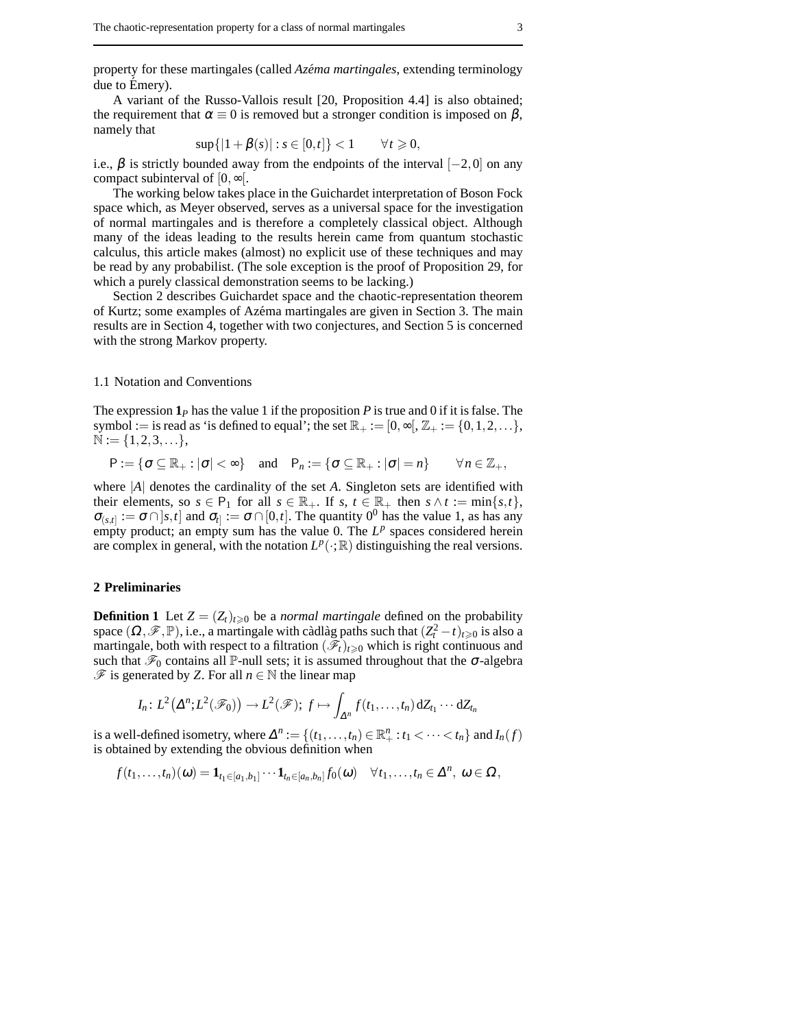property for these martingales (called *Azéma martingales*, extending terminology due to Emery).

A variant of the Russo-Vallois result [20, Proposition 4.4] is also obtained; the requirement that  $\alpha \equiv 0$  is removed but a stronger condition is imposed on  $\beta$ , namely that

$$
\sup\{|1+\beta(s)| : s \in [0,t]\} < 1 \qquad \forall t \geq 0,
$$

i.e.,  $\beta$  is strictly bounded away from the endpoints of the interval  $[-2,0]$  on any compact subinterval of  $[0, \infty)$ .

The working below takes place in the Guichardet interpretation of Boson Fock space which, as Meyer observed, serves as a universal space for the investigation of normal martingales and is therefore a completely classical object. Although many of the ideas leading to the results herein came from quantum stochastic calculus, this article makes (almost) no explicit use of these techniques and may be read by any probabilist. (The sole exception is the proof of Proposition 29, for which a purely classical demonstration seems to be lacking.)

Section 2 describes Guichardet space and the chaotic-representation theorem of Kurtz; some examples of Az´ema martingales are given in Section 3. The main results are in Section 4, together with two conjectures, and Section 5 is concerned with the strong Markov property.

#### 1.1 Notation and Conventions

The expression  $\mathbf{1}_P$  has the value 1 if the proposition  $P$  is true and 0 if it is false. The symbol := is read as 'is defined to equal'; the set  $\mathbb{R}_+ := [0, \infty[, \mathbb{Z}_+ := \{0, 1, 2, \ldots\},\$  $\mathbb{N} := \{1, 2, 3, \ldots\},\$ 

 $P := \{ \sigma \subseteq \mathbb{R}_+ : |\sigma| < \infty \}$  and  $P_n := \{ \sigma \subseteq \mathbb{R}_+ : |\sigma| = n \}$   $\forall n \in \mathbb{Z}_+$ ,

where |*A*| denotes the cardinality of the set *A*. Singleton sets are identified with their elements, so  $s \in P_1$  for all  $s \in \mathbb{R}_+$ . If  $s, t \in \mathbb{R}_+$  then  $s \wedge t := \min\{s, t\}$ ,  $\sigma_{(s,t]} := \sigma \cap [s,t]$  and  $\sigma_t := \sigma \cap [0,t]$ . The quantity 0<sup>0</sup> has the value 1, as has any empty product; an empty sum has the value 0. The  $L^p$  spaces considered herein are complex in general, with the notation  $L^p(\cdot;\mathbb{R})$  distinguishing the real versions.

#### **2 Preliminaries**

**Definition 1** Let  $Z = (Z_t)_{t \geq 0}$  be a *normal martingale* defined on the probability space  $(\Omega, \mathscr{F}, \mathbb{P})$ , i.e., a martingale with càdlàg paths such that  $(Z_t^2 - t)_{t \geq 0}$  is also a martingale, both with respect to a filtration  $(\mathscr{F}_t)_{t\geq0}$  which is right continuous and such that  $\mathcal{F}_0$  contains all P-null sets; it is assumed throughout that the  $\sigma$ -algebra  $\mathcal F$  is generated by *Z*. For all *n* ∈  $\mathbb N$  the linear map

$$
I_n\colon L^2(\Delta^n;L^2(\mathscr{F}_0))\to L^2(\mathscr{F});\ f\mapsto \int_{\Delta^n}f(t_1,\ldots,t_n)\,\mathrm{d}Z_{t_1}\cdots\,\mathrm{d}Z_{t_n}
$$

is a well-defined isometry, where  $\Delta^n := \{(t_1, \ldots, t_n) \in \mathbb{R}^n_+ : t_1 < \cdots < t_n\}$  and  $I_n(f)$ is obtained by extending the obvious definition when

 $f(t_1,...,t_n)(\omega) = \mathbf{1}_{t_1 \in [a_1,b_1]} \cdots \mathbf{1}_{t_n \in [a_n,b_n]} f_0(\omega) \quad \forall t_1,...,t_n \in \Delta^n, \ \omega \in \Omega,$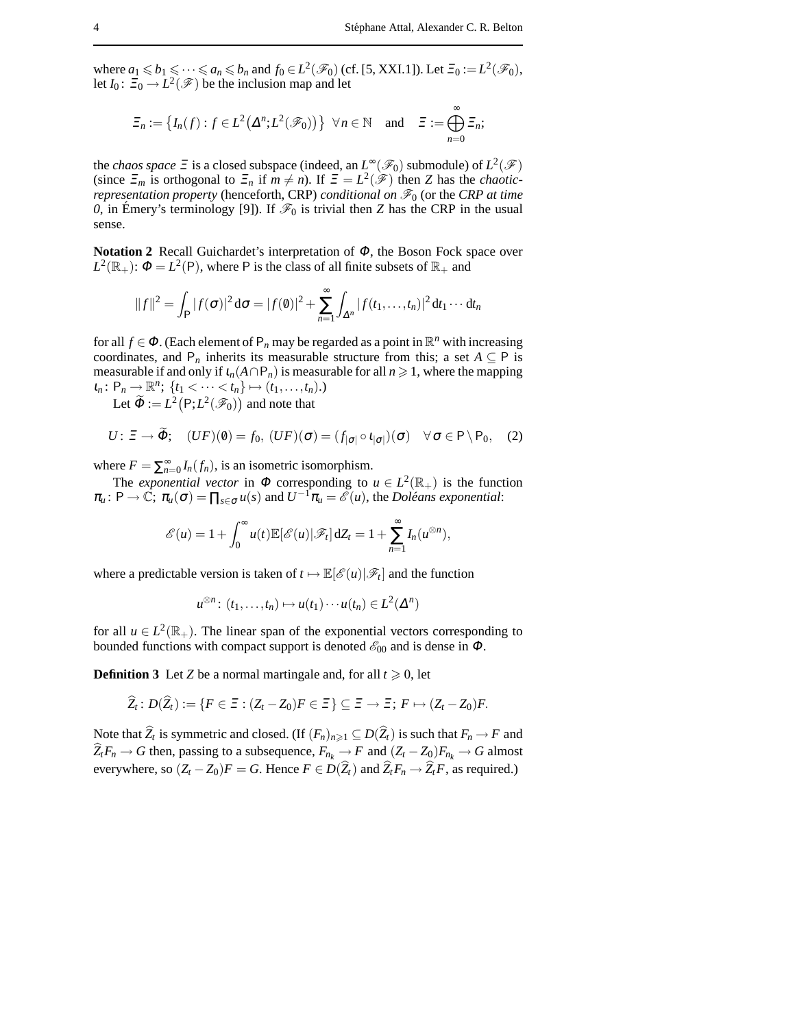where  $a_1 \leq b_1 \leq \cdots \leq a_n \leq b_n$  and  $f_0 \in L^2(\mathscr{F}_0)$  (cf. [5, XXI.1]). Let  $\Xi_0 := L^2(\mathscr{F}_0)$ , let  $I_0: \Xi_0 \to L^2(\mathscr{F})$  be the inclusion map and let

$$
\Xi_n:=\big\{I_n(f):f\in L^2\big(\Delta^n;L^2(\mathscr{F}_0)\big)\big\}\ \ \forall\,n\in\mathbb{N}\quad\text{and}\quad \Xi:=\bigoplus_{n=0}^\infty\Xi_n;
$$

the *chaos space*  $\Xi$  is a closed subspace (indeed, an  $L^{\infty}(\mathscr{F}_0)$  submodule) of  $L^2(\mathscr{F})$ (since  $\Xi_m$  is orthogonal to  $\Xi_n$  if  $m \neq n$ ). If  $\Xi = L^2(\mathscr{F})$  then *Z* has the *chaoticrepresentation property* (henceforth, CRP) *conditional on*  $\mathcal{F}_0$  (or the *CRP at time 0*, in Émery's terminology [9]). If  $\mathcal{F}_0$  is trivial then *Z* has the CRP in the usual sense.

**Notation 2** Recall Guichardet's interpretation of <sup>Φ</sup>, the Boson Fock space over  $L^2(\mathbb{R}_+)$ :  $\Phi = L^2(\mathsf{P})$ , where P is the class of all finite subsets of  $\mathbb{R}_+$  and

$$
||f||^2 = \int_{\mathsf{P}} |f(\sigma)|^2 d\sigma = |f(\theta)|^2 + \sum_{n=1}^{\infty} \int_{\Delta^n} |f(t_1,\ldots,t_n)|^2 dt_1 \cdots dt_n
$$

for all  $f \in \Phi$ . (Each element of  $P_n$  may be regarded as a point in  $\mathbb{R}^n$  with increasing coordinates, and  $P_n$  inherits its measurable structure from this; a set  $A \subseteq P$  is measurable if and only if  $\iota_n(A \cap P_n)$  is measurable for all  $n \ge 1$ , where the mapping  $\iota_n: P_n \to \mathbb{R}^n$ ;  $\{t_1 < \cdots < t_n\} \mapsto (t_1, \ldots, t_n).$ 

Let  $\widetilde{\Phi} := L^2\big(\mathsf{P}; L^2(\mathscr{F}_0)\big)$  and note that

$$
U: \Xi \to \widetilde{\Phi}; \quad (UF)(0) = f_0, \ (UF)(\sigma) = (f_{|\sigma|} \circ \iota_{|\sigma|})(\sigma) \quad \forall \sigma \in \mathsf{P} \setminus \mathsf{P}_0, \quad (2)
$$

where  $F = \sum_{n=0}^{\infty} I_n(f_n)$ , is an isometric isomorphism.

The *exponential vector* in  $\Phi$  corresponding to  $u \in L^2(\mathbb{R}_+)$  is the function  $\pi_u : \mathsf{P} \to \mathbb{C}; \, \pi_u(\sigma) = \prod_{s \in \sigma} u(s)$  and  $U^{-1}\pi_u = \mathscr{E}(u)$ , the *Doléans exponential*:

$$
\mathscr{E}(u) = 1 + \int_0^\infty u(t) \mathbb{E}[\mathscr{E}(u) | \mathscr{F}_t] dZ_t = 1 + \sum_{n=1}^\infty I_n(u^{\otimes n}),
$$

where a predictable version is taken of  $t \mapsto \mathbb{E}[\mathscr{E}(u)|\mathscr{F}_t]$  and the function

$$
u^{\otimes n}\colon (t_1,\ldots,t_n)\mapsto u(t_1)\cdots u(t_n)\in L^2(\Delta^n)
$$

for all  $u \in L^2(\mathbb{R}_+)$ . The linear span of the exponential vectors corresponding to bounded functions with compact support is denoted  $\mathscr{E}_{00}$  and is dense in  $\Phi$ .

**Definition 3** Let *Z* be a normal martingale and, for all  $t \ge 0$ , let

$$
\widehat{Z}_t\colon D(\widehat{Z}_t):=\{F\in\Xi:(Z_t-Z_0)F\in\Xi\}\subseteq\Xi\to\Xi\colon F\mapsto(Z_t-Z_0)F.
$$

Note that  $Z_t$  is symmetric and closed. (If  $(F_n)_{n\geq 1} \subseteq D(Z_t)$  is such that  $F_n \to F$  and  $\widehat{Z}_t F_n \to G$  then, passing to a subsequence,  $F_{n_k} \to F$  and  $(Z_t - Z_0) F_{n_k} \to G$  almost everywhere, so  $(Z_t - Z_0)F = G$ . Hence  $F \in D(\widehat{Z}_t)$  and  $\widehat{Z}_t F_n \to \widehat{Z}_t F$ , as required.)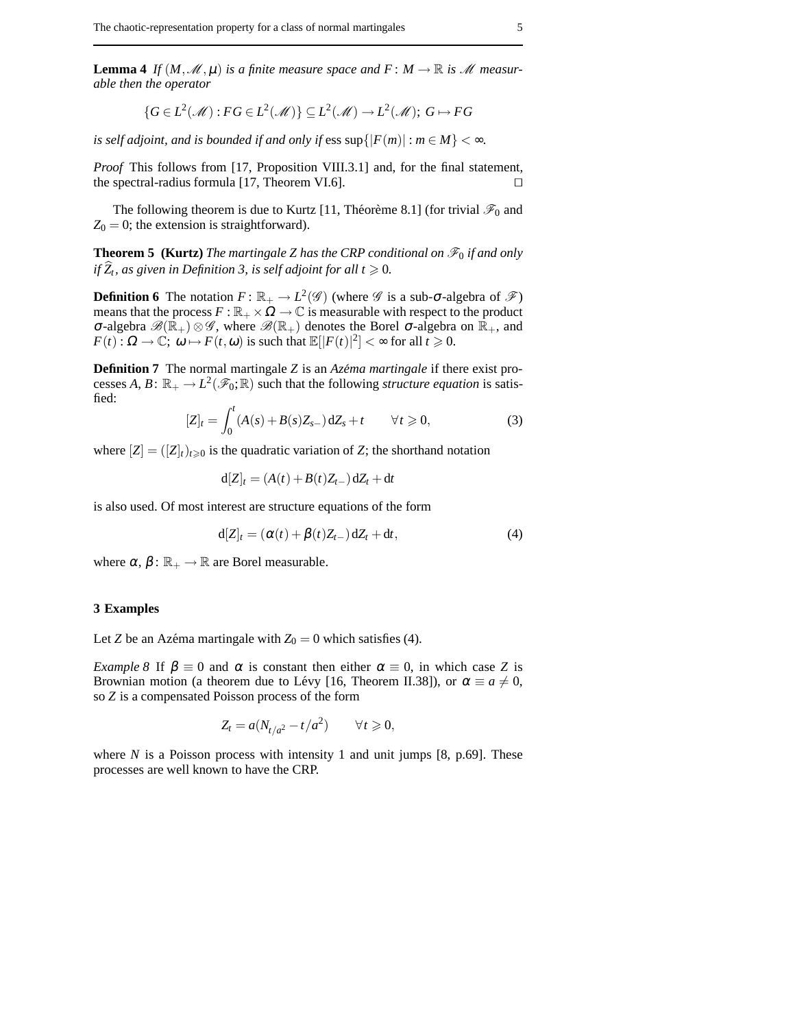**Lemma 4** *If*  $(M, \mathcal{M}, \mu)$  *is a finite measure space and*  $F : M \to \mathbb{R}$  *is M measurable then the operator*

$$
\{G \in L^2(\mathcal{M}) : FG \in L^2(\mathcal{M})\} \subseteq L^2(\mathcal{M}) \to L^2(\mathcal{M}); G \mapsto FG
$$

*is self adjoint, and is bounded if and only if*  $e$ *ss sup* $\{|F(m)| : m \in M\} < \infty$ *.* 

*Proof* This follows from [17, Proposition VIII.3.1] and, for the final statement, the spectral-radius formula [17, Theorem VI.6].  $\Box$ 

The following theorem is due to Kurtz [11, Théorème 8.1] (for trivial  $\mathscr{F}_0$  and  $Z_0 = 0$ ; the extension is straightforward).

**Theorem 5 (Kurtz)** *The martingale Z has the CRP conditional on*  $\mathcal{F}_0$  *if and only if*  $\overline{Z}_t$ , as given in Definition 3, is self adjoint for all  $t \geq 0$ .

**Definition 6** The notation  $F: \mathbb{R}_+ \to L^2(\mathscr{G})$  (where  $\mathscr{G}$  is a sub- $\sigma$ -algebra of  $\mathscr{F}$ ) means that the process  $F : \mathbb{R}_+ \times \Omega \to \mathbb{C}$  is measurable with respect to the product  $\sigma$ -algebra  $\mathscr{B}(\mathbb{R}_+)$  ⊗  $\mathscr{G}$ , where  $\mathscr{B}(\mathbb{R}_+)$  denotes the Borel  $\sigma$ -algebra on  $\mathbb{R}_+$ , and  $F(t): \Omega \to \mathbb{C}; \omega \mapsto F(t, \omega)$  is such that  $\mathbb{E}[|F(t)|^2] < \infty$  for all  $t \ge 0$ .

**Definition 7** The normal martingale *Z* is an *Azéma martingale* if there exist processes *A*, *B*:  $\mathbb{R}_+ \to L^2(\mathscr{F}_0; \mathbb{R})$  such that the following *structure equation* is satisfied:

$$
[Z]_t = \int_0^t (A(s) + B(s)Z_{s-}) \, dZ_s + t \qquad \forall t \geq 0,
$$
 (3)

where  $[Z] = ([Z]_t)_{t \geq 0}$  is the quadratic variation of *Z*; the shorthand notation

$$
\mathrm{d}[Z]_t = (A(t) + B(t)Z_{t-})\,\mathrm{d}Z_t + \mathrm{d}t
$$

is also used. Of most interest are structure equations of the form

$$
d[Z]_t = (\alpha(t) + \beta(t)Z_{t-}) dZ_t + dt, \qquad (4)
$$

where  $\alpha$ ,  $\beta$  :  $\mathbb{R}_+ \rightarrow \mathbb{R}$  are Borel measurable.

#### **3 Examples**

Let *Z* be an Azéma martingale with  $Z_0 = 0$  which satisfies (4).

*Example 8* If  $\beta \equiv 0$  and  $\alpha$  is constant then either  $\alpha \equiv 0$ , in which case *Z* is Brownian motion (a theorem due to Lévy [16, Theorem II.38]), or  $\alpha \equiv a \neq 0$ , so *Z* is a compensated Poisson process of the form

$$
Z_t = a(N_{t/a^2} - t/a^2) \qquad \forall t \geq 0,
$$

where  $N$  is a Poisson process with intensity 1 and unit jumps  $[8, p.69]$ . These processes are well known to have the CRP.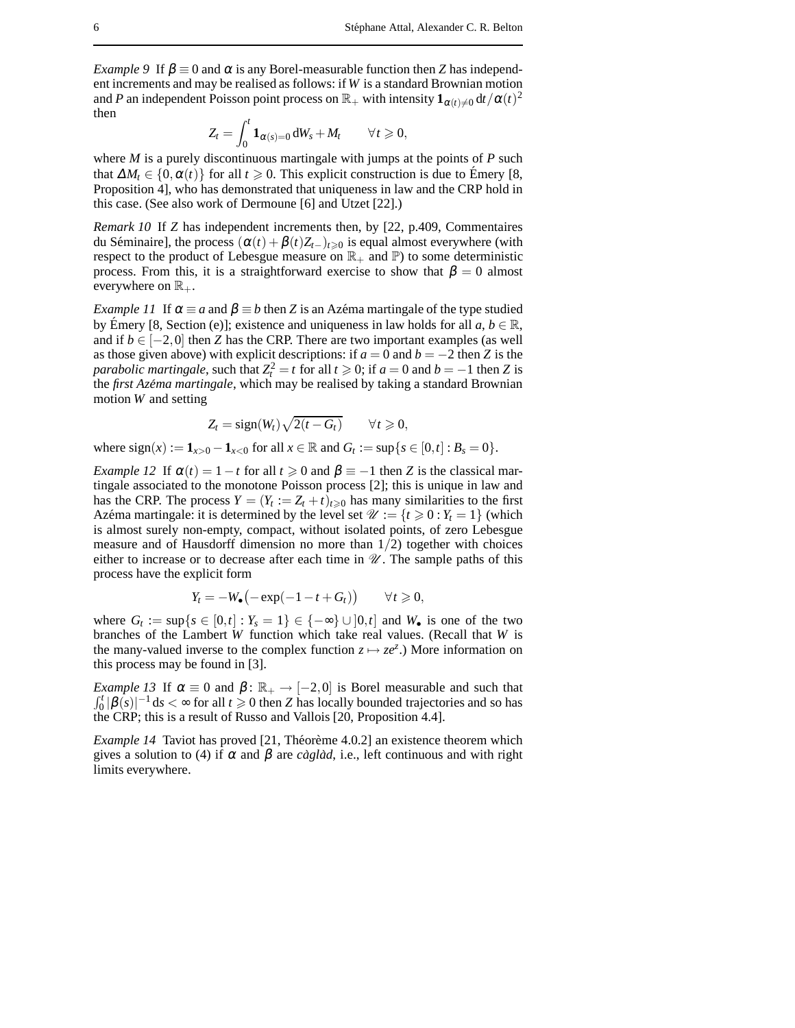*Example 9* If  $\beta \equiv 0$  and  $\alpha$  is any Borel-measurable function then *Z* has independent increments and may be realised as follows: if *W* is a standard Brownian motion and *P* an independent Poisson point process on  $\mathbb{R}_+$  with intensity  $\mathbf{1}_{\alpha(t)\neq 0}\mathrm{d}t/\alpha(t)^2$ then

$$
Z_t = \int_0^t \mathbf{1}_{\alpha(s)=0} \, \mathrm{d}W_s + M_t \qquad \forall t \geq 0,
$$

where *M* is a purely discontinuous martingale with jumps at the points of *P* such that  $\Delta M_t \in \{0, \alpha(t)\}\$  for all  $t \geq 0$ . This explicit construction is due to Emery [8, Proposition 4], who has demonstrated that uniqueness in law and the CRP hold in this case. (See also work of Dermoune [6] and Utzet [22].)

*Remark 10* If *Z* has independent increments then, by [22, p.409, Commentaires du Séminaire], the process  $(\alpha(t)+\beta(t)Z_{t-})_{t\geq 0}$  is equal almost everywhere (with respect to the product of Lebesgue measure on  $\mathbb{R}_+$  and  $\mathbb{P}$ ) to some deterministic process. From this, it is a straightforward exercise to show that  $\beta = 0$  almost everywhere on  $\mathbb{R}_+$ .

*Example 11* If  $\alpha \equiv a$  and  $\beta \equiv b$  then *Z* is an Az $\epsilon$ ma martingale of the type studied by Emery [8, Section (e)]; existence and uniqueness in law holds for all  $a, b \in \mathbb{R}$ , and if  $b \in [-2,0]$  then *Z* has the CRP. There are two important examples (as well as those given above) with explicit descriptions: if  $a = 0$  and  $b = -2$  then *Z* is the *parabolic martingale*, such that  $Z_t^2 = t$  for all  $t \ge 0$ ; if  $a = 0$  and  $b = -1$  then *Z* is the *first Azéma martingale*, which may be realised by taking a standard Brownian motion *W* and setting

$$
Z_t = sign(W_t)\sqrt{2(t - G_t)} \qquad \forall t \geq 0,
$$

where  $sign(x) := 1_{x>0} - 1_{x<0}$  for all  $x \in \mathbb{R}$  and  $G_t := sup\{s \in [0,t] : B_s = 0\}.$ 

*Example 12* If  $\alpha(t) = 1 - t$  for all  $t \ge 0$  and  $\beta \equiv -1$  then *Z* is the classical martingale associated to the monotone Poisson process [2]; this is unique in law and has the CRP. The process  $Y = (Y_t := Z_t + t)_{t \geq 0}$  has many similarities to the first Azéma martingale: it is determined by the level set  $\mathcal{U} := \{t \geq 0 : Y_t = 1\}$  (which is almost surely non-empty, compact, without isolated points, of zero Lebesgue measure and of Hausdorff dimension no more than  $1/2$ ) together with choices either to increase or to decrease after each time in  $\mathcal U$ . The sample paths of this process have the explicit form

$$
Y_t = -W_\bullet\big(-\exp(-1-t+G_t)\big) \qquad \forall t \geq 0,
$$

where  $G_t := \sup\{s \in [0,t] : Y_s = 1\} \in \{-\infty\} \cup ]0,t]$  and  $W_{\bullet}$  is one of the two branches of the Lambert *W* function which take real values. (Recall that *W* is the many-valued inverse to the complex function  $z \mapsto ze^z$ .) More information on this process may be found in [3].

*Example 13* If  $\alpha \equiv 0$  and  $\beta$ :  $\mathbb{R}_+ \rightarrow [-2,0]$  is Borel measurable and such that  $\int_0^t |\beta(s)|^{-1} ds < \infty$  for all  $t \ge 0$  then *Z* has locally bounded trajectories and so has the CRP; this is a result of Russo and Vallois [20, Proposition 4.4].

*Example 14* Taviot has proved [21, Théorème 4.0.2] an existence theorem which gives a solution to (4) if  $\alpha$  and  $\beta$  are *caglad*, i.e., left continuous and with right limits everywhere.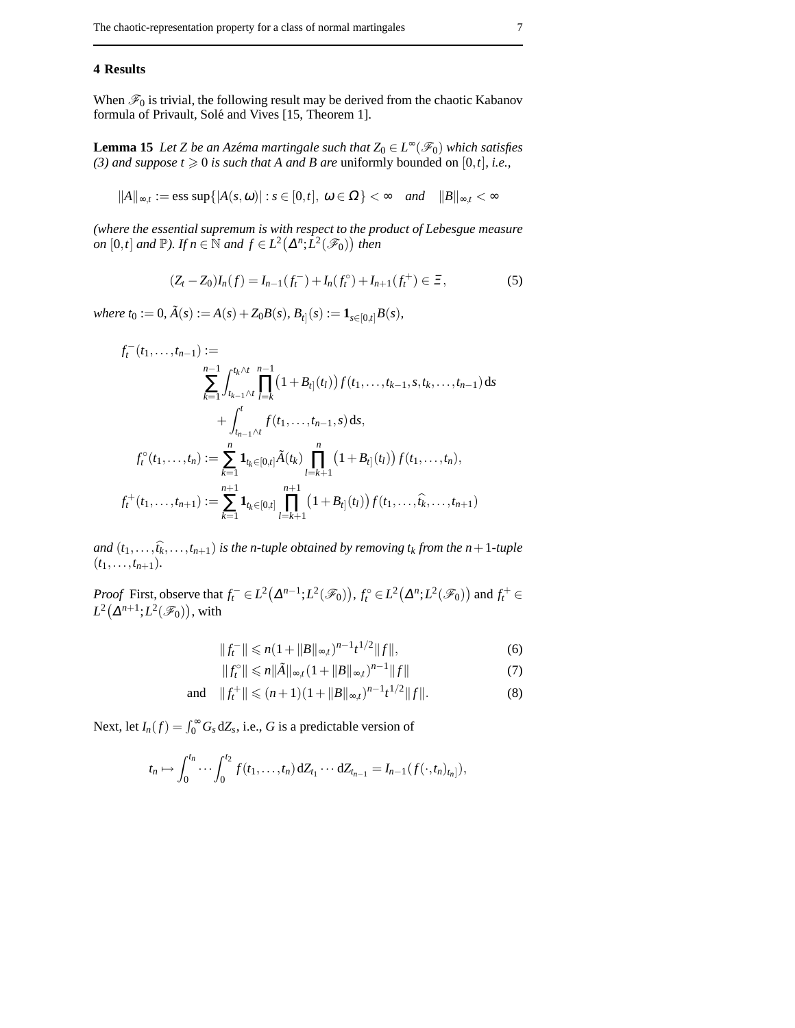## **4 Results**

When  $\mathcal{F}_0$  is trivial, the following result may be derived from the chaotic Kabanov formula of Privault, Solé and Vives [15, Theorem 1].

**Lemma 15** *Let Z be an Azéma martingale such that*  $Z_0 \in L^{\infty}(\mathscr{F}_0)$  *which satisfies (3) and suppose*  $t \ge 0$  *is such that A and B are uniformly bounded on [0,t], i.e.,* 

$$
||A||_{\infty,t} := \text{ess sup}\{|A(s,\omega)| : s \in [0,t], \omega \in \Omega\} < \infty \quad and \quad ||B||_{\infty,t} < \infty
$$

*(where the essential supremum is with respect to the product of Lebesgue measure*  $\int$ *on* [0,*t*] *and*  $\mathbb{P}$ *). If*  $n \in \mathbb{N}$  *and*  $f \in L^2(\Delta^n; L^2(\mathscr{F}_0))$  *then* 

$$
(Z_t - Z_0)I_n(f) = I_{n-1}(f_t^-) + I_n(f_t^0) + I_{n+1}(f_t^+) \in \Xi,
$$
\n(5)

 $where t_0 := 0, \tilde{A}(s) := A(s) + Z_0B(s), B_t|(s) := \mathbf{1}_{s \in [0,t]}B(s),$ 

$$
f_t^-(t_1,\ldots,t_{n-1}) := \sum_{k=1}^{n-1} \int_{t_{k-1}\wedge t}^{t_k\wedge t} \prod_{l=k}^{n-1} (1+B_{t_l}(t_l)) f(t_1,\ldots,t_{k-1},s,t_k,\ldots,t_{n-1}) ds + \int_{t_{n-1}\wedge t}^t f(t_1,\ldots,t_{n-1},s) ds,
$$
  

$$
f_t^{\circ}(t_1,\ldots,t_n) := \sum_{k=1}^n \mathbf{1}_{t_k \in [0,t]} \tilde{A}(t_k) \prod_{l=k+1}^n (1+B_{t_l}(t_l)) f(t_1,\ldots,t_n),
$$
  

$$
f_t^+(t_1,\ldots,t_{n+1}) := \sum_{k=1}^{n+1} \mathbf{1}_{t_k \in [0,t]} \prod_{l=k+1}^{n+1} (1+B_{t_l}(t_l)) f(t_1,\ldots,\widehat{t_k},\ldots,t_{n+1})
$$

*and*  $(t_1, \ldots, \hat{t_k}, \ldots, t_{n+1})$  *is the n-tuple obtained by removing*  $t_k$  *from the n*+1*-tuple*  $(t_1, \ldots, t_{n+1})$ .

*Proof* First, observe that  $f_t^- \in L^2(\Delta^{n-1}; L^2(\mathscr{F}_0)), f_t^{\circ} \in L^2(\Delta^n; L^2(\mathscr{F}_0))$  and  $f_t^+ \in$  $L^2(\Delta^{n+1}; L^2(\mathscr{F}_0))$ , with

$$
||f_t^-|| \le n(1+||B||_{\infty,t})^{n-1}t^{1/2}||f||,
$$
\n(6)

$$
||f_t^{\circ}|| \leq n||\tilde{A}||_{\infty,t}(1+||B||_{\infty,t})^{n-1}||f|| \tag{7}
$$

and 
$$
||f_t^+|| \leq (n+1)(1+||B||_{\infty,t})^{n-1}t^{1/2}||f||.
$$
 (8)

Next, let  $I_n(f) = \int_0^\infty G_s dZ_s$ , i.e., *G* is a predictable version of

$$
t_n \mapsto \int_0^{t_n} \cdots \int_0^{t_2} f(t_1,\ldots,t_n) dZ_{t_1} \cdots dZ_{t_{n-1}} = I_{n-1}(f(\cdot,t_n)_{t_n}]),
$$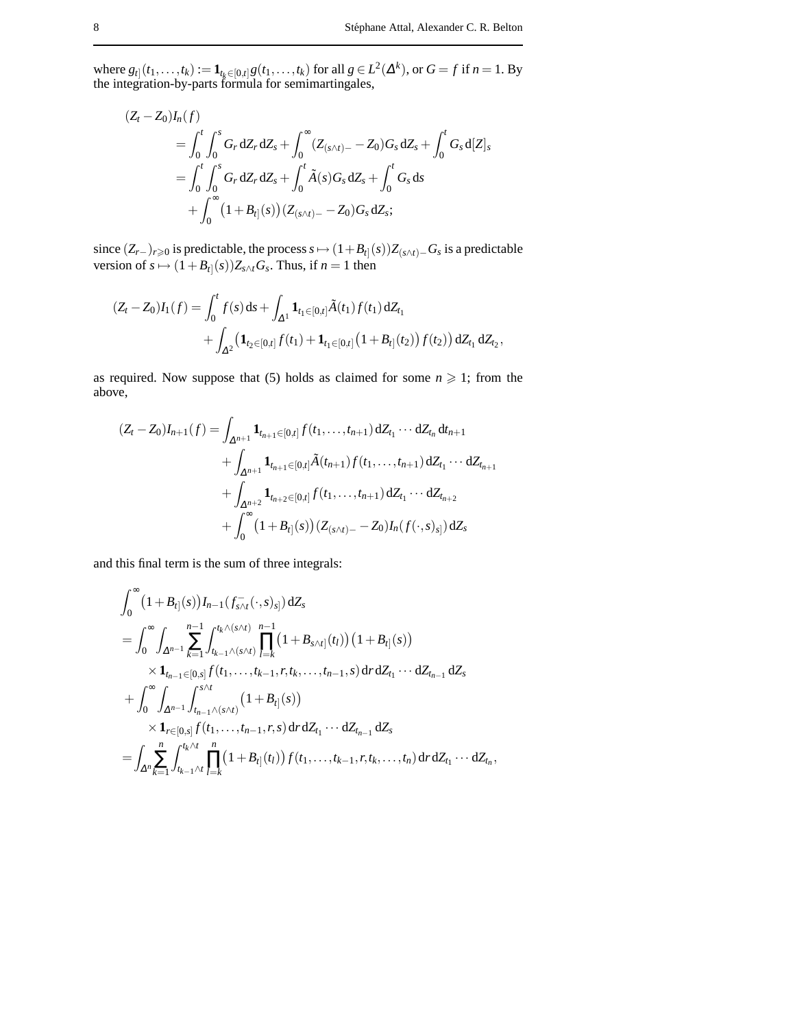where  $g_{t}$   $(t_1,...,t_k) := \mathbf{1}_{t_k \in [0,t]} g(t_1,...,t_k)$  for all  $g \in L^2(\Delta^k)$ , or  $G = f$  if  $n = 1$ . By the integration-by-parts formula for semimartingales,

$$
(Z_t - Z_0)I_n(f)
$$
  
=  $\int_0^t \int_0^s G_r dZ_r dZ_s + \int_0^\infty (Z_{(s \wedge t) -} - Z_0)G_s dZ_s + \int_0^t G_s d[Z]_s$   
=  $\int_0^t \int_0^s G_r dZ_r dZ_s + \int_0^t \tilde{A}(s)G_s dZ_s + \int_0^t G_s ds$   
+  $\int_0^\infty (1 + B_{t}(s))(Z_{(s \wedge t) -} - Z_0)G_s dZ_s;$ 

since  $(Z_{r-})_{r≥0}$  is predictable, the process  $s \mapsto (1+B_{t]}(s))Z_{(s\wedge t)-}G_s$  is a predictable version of  $s \mapsto (1+B_{t}|(s))Z_{s\wedge t}G_s$ . Thus, if  $n=1$  then

$$
(Z_t - Z_0)I_1(f) = \int_0^t f(s) ds + \int_{\Delta^1} \mathbf{1}_{t_1 \in [0,t]} \tilde{A}(t_1) f(t_1) dZ_{t_1} + \int_{\Delta^2} (\mathbf{1}_{t_2 \in [0,t]} f(t_1) + \mathbf{1}_{t_1 \in [0,t]} (1 + B_{t_1}(t_2)) f(t_2)) dZ_{t_1} dZ_{t_2},
$$

as required. Now suppose that (5) holds as claimed for some  $n \geq 1$ ; from the above,

$$
(Z_t - Z_0)I_{n+1}(f) = \int_{\Delta^{n+1}} \mathbf{1}_{t_{n+1} \in [0,t]} f(t_1, \dots, t_{n+1}) dZ_{t_1} \cdots dZ_{t_n} dt_{n+1}
$$
  
+ 
$$
\int_{\Delta^{n+1}} \mathbf{1}_{t_{n+1} \in [0,t]} \tilde{A}(t_{n+1}) f(t_1, \dots, t_{n+1}) dZ_{t_1} \cdots dZ_{t_{n+1}}
$$
  
+ 
$$
\int_{\Delta^{n+2}} \mathbf{1}_{t_{n+2} \in [0,t]} f(t_1, \dots, t_{n+1}) dZ_{t_1} \cdots dZ_{t_{n+2}}
$$
  
+ 
$$
\int_0^\infty (1 + B_{t_1}(s)) (Z_{(s \wedge t) -} - Z_0) I_n(f(\cdot, s)_{s_1}) dZ_s
$$

and this final term is the sum of three integrals:

$$
\int_{0}^{\infty} (1 + B_{t}](s)) I_{n-1}(f_{s \wedge t}^{-}(\cdot, s)_{s}^{\cdot}) dZ_{s}
$$
\n
$$
= \int_{0}^{\infty} \int_{\Delta^{n-1}} \sum_{k=1}^{n-1} \int_{t_{k-1} \wedge (s \wedge t)}^{t_{k} \wedge (s \wedge t)} \prod_{l=k}^{n-1} (1 + B_{s \wedge t}](t_{l})) (1 + B_{t}](s))
$$
\n
$$
\times 1_{t_{n-1} \in [0, s]} f(t_{1}, \dots, t_{k-1}, r, t_{k}, \dots, t_{n-1}, s) d\mathbf{r} dZ_{t_{1}} \cdots dZ_{t_{n-1}} dZ_{s}
$$
\n
$$
+ \int_{0}^{\infty} \int_{\Delta^{n-1}} \int_{t_{n-1} \wedge (s \wedge t)}^{s \wedge t} (1 + B_{t}](s))
$$
\n
$$
\times 1_{r \in [0, s]} f(t_{1}, \dots, t_{n-1}, r, s) d\mathbf{r} dZ_{t_{1}} \cdots dZ_{t_{n-1}} dZ_{s}
$$
\n
$$
= \int_{\Delta^{n}} \sum_{k=1}^{n} \int_{t_{k-1} \wedge t}^{t_{k} \wedge t} \prod_{l=k}^{n} (1 + B_{t}](t_{l})) f(t_{1}, \dots, t_{k-1}, r, t_{k}, \dots, t_{n}) d\mathbf{r} dZ_{t_{1}} \cdots dZ_{t_{n}},
$$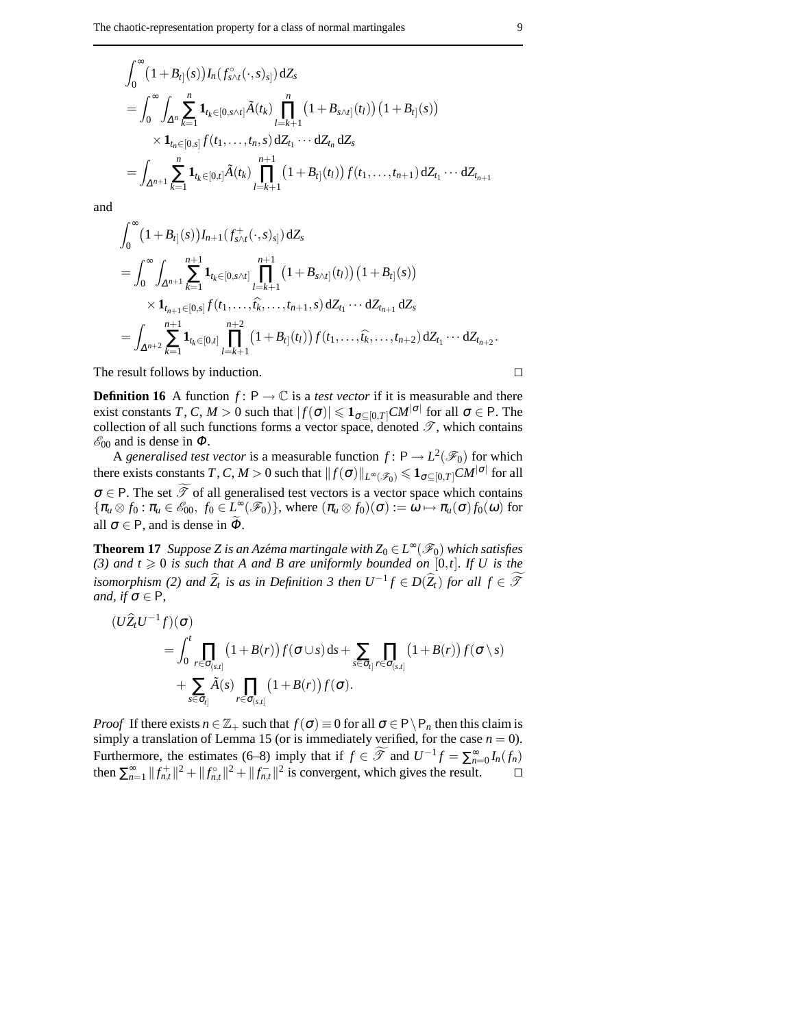$$
\int_0^{\infty} (1 + B_{t]}(s)) I_n(f_{s \wedge t}^{\circ}(\cdot, s)_{s]}) dZ_s
$$
\n
$$
= \int_0^{\infty} \int_{\Delta^n} \sum_{k=1}^n \mathbf{1}_{t_k \in [0, s \wedge t]} \tilde{A}(t_k) \prod_{l=k+1}^n (1 + B_{s \wedge t]}(t_l)) (1 + B_{t]}(s))
$$
\n
$$
\times \mathbf{1}_{t_n \in [0, s]} f(t_1, \dots, t_n, s) dZ_{t_1} \cdots dZ_{t_n} dZ_s
$$
\n
$$
= \int_{\Delta^{n+1}} \sum_{k=1}^n \mathbf{1}_{t_k \in [0, t]} \tilde{A}(t_k) \prod_{l=k+1}^{n+1} (1 + B_{t_l]}(t_l)) f(t_1, \dots, t_{n+1}) dZ_{t_1} \cdots dZ_{t_{n+1}}
$$

and

$$
\int_0^{\infty} (1 + B_{t}](s) J_{n+1}(f_{s \wedge t}^+(\cdot, s)_{s]}) dZ_s
$$
\n
$$
= \int_0^{\infty} \int_{\Delta^{n+1}} \sum_{k=1}^{n+1} \mathbf{1}_{t_k \in [0, s \wedge t]} \prod_{l=k+1}^{n+1} (1 + B_{s \wedge t}](t_l)) (1 + B_{t}](s))
$$
\n
$$
\times \mathbf{1}_{t_{n+1} \in [0, s]} f(t_1, \dots, \widehat{t_k}, \dots, t_{n+1}, s) dZ_{t_1} \cdots dZ_{t_{n+1}} dZ_s
$$
\n
$$
= \int_{\Delta^{n+2}} \sum_{k=1}^{n+1} \mathbf{1}_{t_k \in [0, t]} \prod_{l=k+1}^{n+2} (1 + B_{t}](t_l)) f(t_1, \dots, \widehat{t_k}, \dots, t_{n+2}) dZ_{t_1} \cdots dZ_{t_{n+2}}.
$$

The result follows by induction.  $\Box$ 

**Definition 16** A function  $f: P \to \mathbb{C}$  is a *test vector* if it is measurable and there exist constants *T*, *C*, *M* > 0 such that  $|f(\sigma)| \leqslant \mathbf{1}_{\sigma \subseteq [0,T]} C M^{|\sigma|}$  for all  $\sigma \in P$ . The collection of all such functions forms a vector space, denoted  $\mathscr{T}$ , which contains  $\mathscr{E}_{00}$  and is dense in  $\Phi$ .

A *generalised test vector* is a measurable function  $f: P \to L^2(\mathscr{F}_0)$  for which there exists constants  $T$  ,  $C$  ,  $M>0$  such that  $\|f(\sigma)\|_{L^\infty(\mathscr{F}_0)}\leqslant \mathbf{1}_{\sigma\subseteq [0,T]}CM^{|\sigma|}$  for all  $\sigma \in P$ . The set  $\widetilde{\mathcal{T}}$  of all generalised test vectors is a vector space which contains  ${\pi_u \otimes f_0 : \pi_u \in \mathscr{E}_{00}, f_0 \in L^{\infty}(\mathscr{F}_0)}$ , where  ${(\pi_u \otimes f_0)(\sigma) := \omega \mapsto \pi_u(\sigma) f_0(\omega)}$  for all  $\sigma \in P$ , and is dense in  $\tilde{\Phi}$ .

**Theorem 17** *Suppose Z is an Azéma martingale with*  $Z_0 \in L^{\infty}(\mathscr{F}_0)$  *which satisfies* (3) and  $t \ge 0$  *is such that A and B are uniformly bounded on* [0,*t*]*. If U is the isomorphism* (2) and  $\widehat{Z}_t$  *is as in Definition 3 then*  $U^{-1}f \in D(\widehat{Z}_t)$  *for all*  $f \in \widetilde{\mathcal{F}}$ *and, if*  $\sigma \in P$ *,* 

$$
(U\widehat{Z}_tU^{-1}f)(\sigma)
$$
  
=  $\int_0^t \prod_{r \in \sigma_{(s,t]}} (1+B(r))f(\sigma \cup s) ds + \sum_{s \in \sigma_{t} \upharpoonright t \in \sigma_{(s,t]}} \prod_{r \in \sigma_{(s,t]}} (1+B(r))f(\sigma \setminus s)$   
+  $\sum_{s \in \sigma_{t} \upharpoonright s} \widetilde{A}(s) \prod_{r \in \sigma_{(s,t]}} (1+B(r))f(\sigma).$ 

*Proof* If there exists  $n \in \mathbb{Z}_+$  such that  $f(\sigma) \equiv 0$  for all  $\sigma \in P \setminus P_n$  then this claim is simply a translation of Lemma 15 (or is immediately verified, for the case  $n = 0$ ). Furthermore, the estimates (6–8) imply that if  $f \in \mathcal{T}$  and  $U^{-1}f = \sum_{n=0}^{\infty} I_n(f_n)$ then  $\sum_{n=1}^{\infty} ||f_{n,t}^{+}||^2 + ||f_{n,t}^{<}|^2 + ||f_{n,t}^{-}||^2$  is convergent, which gives the result. □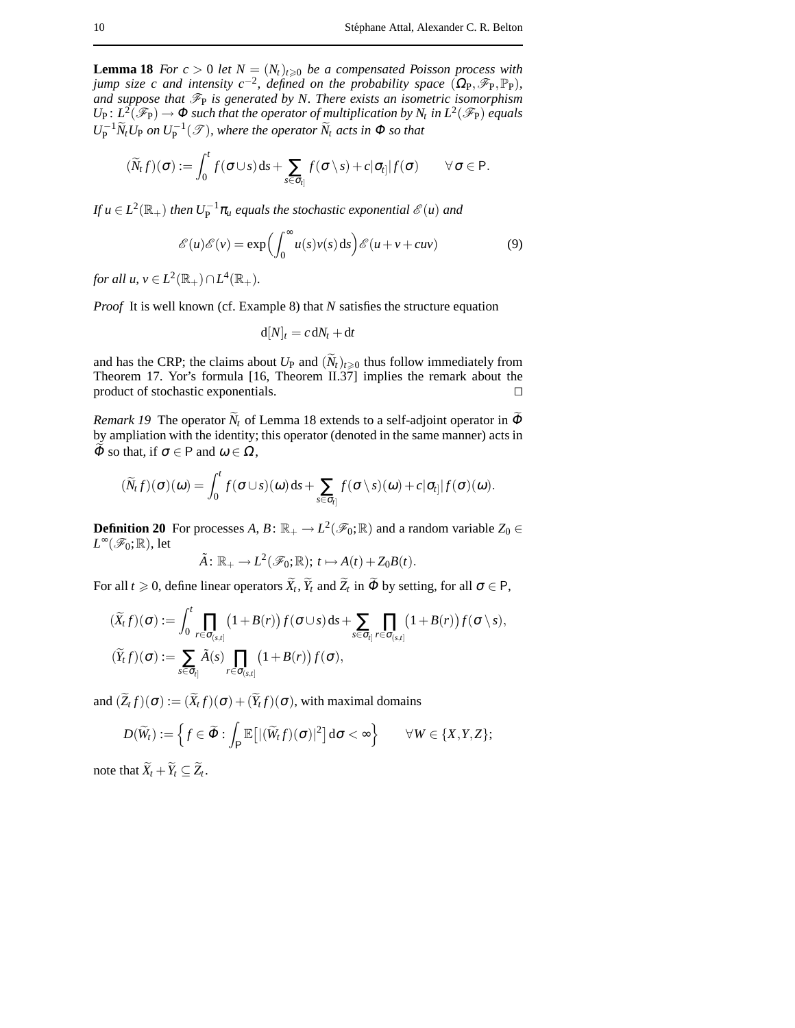**Lemma 18** *For*  $c > 0$  *let*  $N = (N_t)_{t \geq 0}$  *be a compensated Poisson process with jump size c and intensity c*<sup>-2</sup>, defined on the probability space  $(\Omega_{\text{P}}, \mathscr{F}_{\text{P}}, \mathbb{P}_{\text{P}})$ , and suppose that  $\mathcal{F}_P$  is generated by N. There exists an isometric isomorphism  $U_P$ :  $L^2(\mathscr{F}_P) \to \Phi$  such that the operator of multiplication by  $N_t$  in  $L^2(\mathscr{F}_P)$  equals  $U_P^{-1} \widetilde{N}_t U_P$  *on*  $U_P^{-1} (\mathscr{T})$ *, where the operator*  $\widetilde{N}_t$  *acts in*  $\Phi$  *so that* 

$$
(\widetilde{N}_t f)(\sigma) := \int_0^t f(\sigma \cup s) \, ds + \sum_{s \in \sigma_i} f(\sigma \setminus s) + c |\sigma_{i}| f(\sigma) \qquad \forall \, \sigma \in P.
$$

If  $u \in L^2(\mathbb{R}_+)$  then  $U_P^{-1}\pi_u$  equals the stochastic exponential  $\mathscr{E}(u)$  and

$$
\mathcal{E}(u)\mathcal{E}(v) = \exp\left(\int_0^\infty u(s)v(s) \, ds\right) \mathcal{E}(u+v+cw) \tag{9}
$$

*for all*  $u, v \in L^2(\mathbb{R}_+) \cap L^4(\mathbb{R}_+).$ 

*Proof* It is well known (cf. Example 8) that *N* satisfies the structure equation

$$
\mathrm{d}[N]_t = c \,\mathrm{d}N_t + \mathrm{d}t
$$

and has the CRP; the claims about  $U_P$  and  $(\widetilde{N}_t)_{t\geq0}$  thus follow immediately from Theorem 17. Yor's formula [16, Theorem II.37] implies the remark about the product of stochastic exponentials.  $\Box$ 

*Remark 19* The operator  $\widetilde{N}_t$  of Lemma 18 extends to a self-adjoint operator in  $\widetilde{\Phi}$ by ampliation with the identity; this operator (denoted in the same manner) acts in  $\Phi$  so that, if  $\sigma \in \mathsf{P}$  and  $\omega \in \Omega$ ,

$$
(\widetilde{N}_t f)(\sigma)(\omega) = \int_0^t f(\sigma \cup s)(\omega) \, ds + \sum_{s \in \sigma_{t_i}} f(\sigma \setminus s)(\omega) + c |\sigma_{t_i}| f(\sigma)(\omega).
$$

**Definition 20** For processes  $A, B: \mathbb{R}_+ \to L^2(\mathscr{F}_0; \mathbb{R})$  and a random variable  $Z_0 \in$ *L*<sup>∞</sup>( $\mathscr{F}_0$ ; ℝ), let

$$
\tilde{A} : \mathbb{R}_+ \to L^2(\mathscr{F}_0; \mathbb{R}); t \mapsto A(t) + Z_0 B(t).
$$

For all  $t \ge 0$ , define linear operators  $\widetilde{X}_t$ ,  $\widetilde{Y}_t$  and  $\widetilde{Z}_t$  in  $\widetilde{\Phi}$  by setting, for all  $\sigma \in \mathsf{P}$ ,

$$
\begin{aligned}\n(\widetilde{X}_t f)(\sigma) &:= \int_0^t \prod_{r \in \sigma_{[s,t]}} \big(1 + B(r)\big) f(\sigma \cup s) \, \mathrm{d} s + \sum_{s \in \sigma_{t]}}\prod_{r \in \sigma_{[s,t]}} \big(1 + B(r)\big) f(\sigma \setminus s), \\
(\widetilde{Y}_t f)(\sigma) &:= \sum_{s \in \sigma_{t]} } \widetilde{A}(s) \prod_{r \in \sigma_{[s,t]}} \big(1 + B(r)\big) f(\sigma),\n\end{aligned}
$$

and  $(Z_t f)(\sigma) := (X_t f)(\sigma) + (Y_t f)(\sigma)$ , with maximal domains

$$
D(\widetilde{W}_t) := \left\{ f \in \widetilde{\Phi} : \int_{\mathsf{P}} \mathbb{E}\big[ |(\widetilde{W}_t f)(\sigma)|^2 \big] d\sigma < \infty \right\} \qquad \forall W \in \{X, Y, Z\};
$$

note that  $X_t + Y_t \subseteq Z_t$ .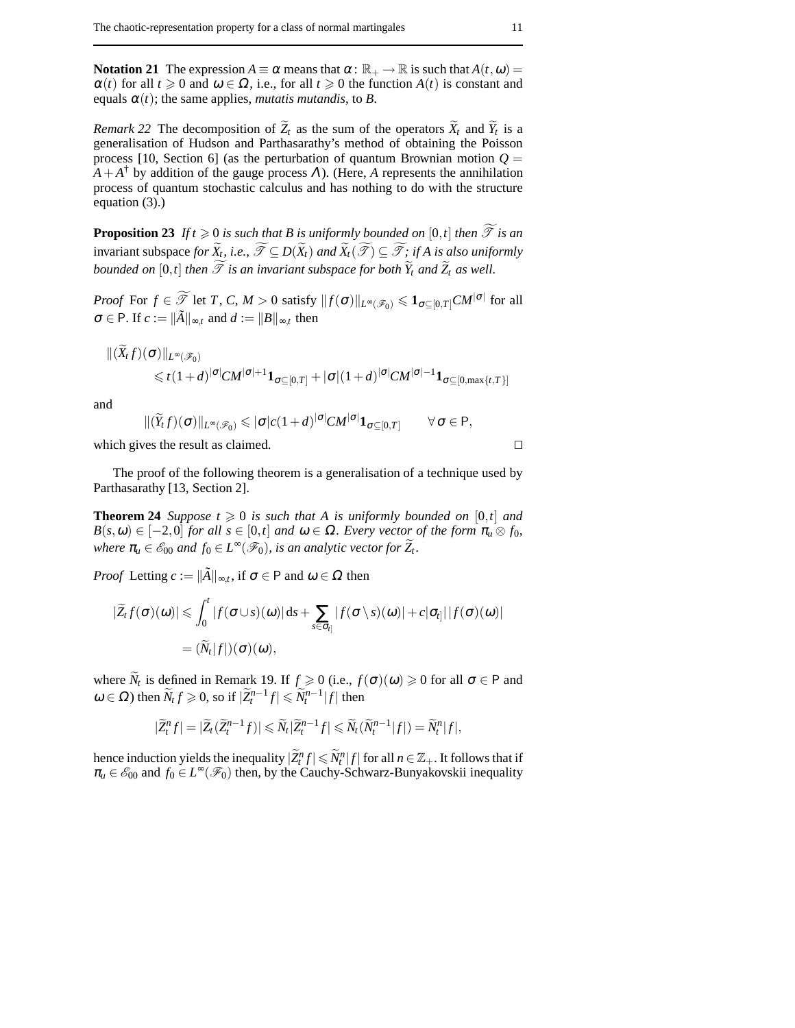**Notation 21** The expression  $A \equiv \alpha$  means that  $\alpha : \mathbb{R}_+ \to \mathbb{R}$  is such that  $A(t, \omega) =$  $\alpha(t)$  for all  $t \geq 0$  and  $\omega \in \Omega$ , i.e., for all  $t \geq 0$  the function  $A(t)$  is constant and equals  $\alpha(t)$ ; the same applies, *mutatis mutandis*, to *B*.

*Remark* 22 The decomposition of  $Z_t$  as the sum of the operators  $X_t$  and  $Y_t$  is a generalisation of Hudson and Parthasarathy's method of obtaining the Poisson process [10, Section 6] (as the perturbation of quantum Brownian motion  $Q =$  $A + A^{\dagger}$  by addition of the gauge process  $\Lambda$ ). (Here,  $A$  represents the annihilation process of quantum stochastic calculus and has nothing to do with the structure equation (3).)

**Proposition 23** If  $t \ge 0$  *is such that B is uniformly bounded on*  $[0,t]$  *then*  $\widetilde{\mathcal{T}}$  *is an* invariant subspace *for*  $\widetilde{X}_t$ , *i.e.*,  $\widetilde{\mathcal{T}} \subseteq D(\widetilde{X}_t)$  *and*  $\widetilde{X}_t(\widetilde{\mathcal{T}}) \subseteq \widetilde{\mathcal{T}}$ *; if A is also uniformly bounded on*  $[0,t]$  *then*  $\widetilde{\mathcal{T}}$  *is an invariant subspace for both*  $\widetilde{Y}_t$  *and*  $\widetilde{Z}_t$  *as well.* 

*Proof* For  $f \in \widetilde{\mathscr{T}}$  let *T*, *C*, *M* > 0 satisfy  $||f(\sigma)||_{L^{\infty}(\mathscr{F}_0)} \leqslant \mathbf{1}_{\sigma \subseteq [0,T]} CM^{|\sigma|}$  for all  $\sigma \in \mathsf{P}$ . If  $c := \|\tilde{A}\|_{\infty,t}$  and  $d := \|B\|_{\infty,t}$  then

$$
||(X_t f)(\sigma)||_{L^{\infty}(\mathscr{F}_0)}\leq t(1+d)^{|\sigma|}CM^{|\sigma|+1}\mathbf{1}_{\sigma\subseteq[0,T]}+|\sigma|(1+d)^{|\sigma|}CM^{|\sigma|-1}\mathbf{1}_{\sigma\subseteq[0,\max\{t,T\}]}
$$

and

$$
\|(\widetilde{Y}_t f)(\sigma)\|_{L^{\infty}(\mathscr{F}_0)} \leqslant |\sigma|c(1+d)^{|\sigma|}CM^{|\sigma|}\mathbf{1}_{\sigma \subseteq [0,T]} \qquad \forall \sigma \in P,
$$

which gives the result as claimed.  $\Box$ 

The proof of the following theorem is a generalisation of a technique used by Parthasarathy [13, Section 2].

**Theorem 24** *Suppose*  $t \ge 0$  *is such that* A *is uniformly bounded on* [0,*t*] *and*  $B(s, \omega) \in [-2, 0]$  *for all*  $s \in [0, t]$  *and*  $\omega \in \Omega$ *. Every vector of the form*  $\pi_u \otimes f_0$ *, where*  $\pi_u \in \mathscr{E}_{00}$  *and*  $f_0 \in L^\infty(\mathscr{F}_0)$ *, is an analytic vector for*  $\widetilde{Z}_t$ *.* 

*Proof* Letting  $c := ||\tilde{A}||_{\infty,t}$ , if  $\sigma \in \mathsf{P}$  and  $\omega \in \Omega$  then

$$
\begin{aligned} |\widetilde{Z}_t f(\sigma)(\omega)| &\leq \int_0^t |f(\sigma \cup s)(\omega)| \, \mathrm{d}s + \sum_{s \in \sigma_{t_j}} |f(\sigma \setminus s)(\omega)| + c |\sigma_{t_j}| |f(\sigma)(\omega)| \\ &= (\widetilde{N}_t |f|)(\sigma)(\omega), \end{aligned}
$$

where  $\widetilde{N}_t$  is defined in Remark 19. If  $f \ge 0$  (i.e.,  $f(\sigma)(\omega) \ge 0$  for all  $\sigma \in \mathsf{P}$  and  $\omega \in \Omega$ ) then  $\widetilde{N}_t f \geqslant 0$ , so if  $|\widetilde{Z}_t^{n-1} f| \leqslant \widetilde{N}_t^{n-1} |f|$  then

$$
|\widetilde{Z}_t^n f| = |\widetilde{Z}_t(\widetilde{Z}_t^{n-1} f)| \leq \widetilde{N}_t |\widetilde{Z}_t^{n-1} f| \leq \widetilde{N}_t(\widetilde{N}_t^{n-1} |f|) = \widetilde{N}_t^n |f|,
$$

hence induction yields the inequality  $|\widetilde{Z}^n_t f| \leq \widetilde{N}^n_t |f|$  for all  $n \in \mathbb{Z}_+$ . It follows that if  $\pi_u \in \mathscr{E}_{00}$  and  $f_0 \in L^{\infty}(\mathscr{F}_0)$  then, by the Cauchy-Schwarz-Bunyakovskii inequality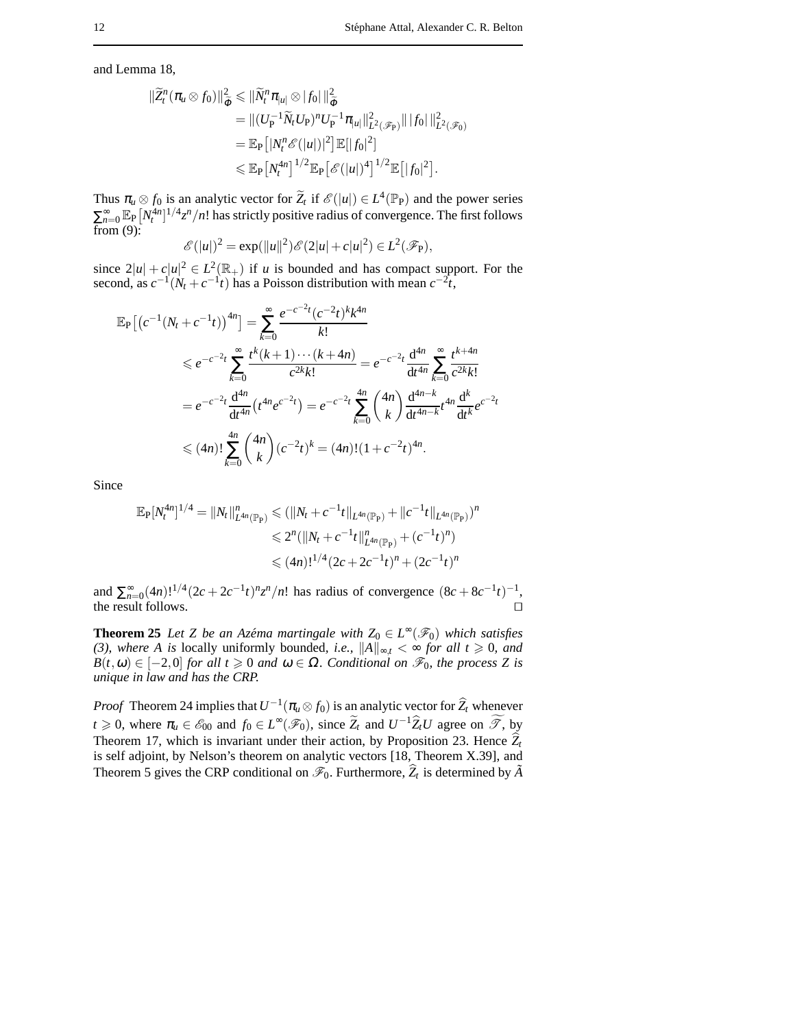and Lemma 18,

$$
\begin{split} \|\widetilde{Z}_{t}^{n}(\pi_{u}\otimes f_{0})\|_{\widetilde{\Phi}}^{2} &\leq \|\widetilde{N}_{t}^{n}\pi_{|u|}\otimes |f_{0}| \|\widetilde{\Phi} \\ &= \| (U_{\mathrm{P}}^{-1}\widetilde{N}_{t}U_{\mathrm{P}})^{n}U_{\mathrm{P}}^{-1}\pi_{|u|} \|_{L^{2}(\mathscr{F}_{\mathrm{P}})}^{2} \| |f_{0}| \|_{L^{2}(\mathscr{F}_{0})}^{2} \\ &= \mathbb{E}_{\mathrm{P}}\left[ |N_{t}^{n}\mathscr{E}(|u|)|^{2}\right] \mathbb{E}[|f_{0}|^{2}] \\ &\leq \mathbb{E}_{\mathrm{P}}\left[ N_{t}^{4n}\right]^{1/2} \mathbb{E}_{\mathrm{P}}\left[ \mathscr{E}(|u|)^{4}\right]^{1/2} \mathbb{E}\left[ |f_{0}|^{2}\right]. \end{split}
$$

Thus  $\pi_u \otimes f_0$  is an analytic vector for  $\widetilde{Z}_t$  if  $\mathscr{E}(|u|) \in L^4(\mathbb{P}_P)$  and the power series  $\sum_{n=0}^{\infty} \mathbb{E}_{P} [N_t^{4n}]^{1/4} z^n/n!$  has strictly positive radius of convergence. The first follows from  $(9)$ :

$$
\mathscr{E}(|u|)^2 = \exp(||u||^2)\mathscr{E}(2|u|+c|u|^2) \in L^2(\mathscr{F}_P),
$$

since  $2|u| + c|u|^2 \in L^2(\mathbb{R}_+)$  if *u* is bounded and has compact support. For the second, as  $c^{-1}(N_t + c^{-1}t)$  has a Poisson distribution with mean  $c^{-2}t$ ,

$$
\mathbb{E}_{\mathbf{P}}\left[\left(c^{-1}(N_{t}+c^{-1}t)\right)^{4n}\right] = \sum_{k=0}^{\infty} \frac{e^{-c^{-2}t}(c^{-2}t)^{k}k^{4n}}{k!}
$$
\n
$$
\leq e^{-c^{-2}t} \sum_{k=0}^{\infty} \frac{t^{k}(k+1)\cdots(k+4n)}{c^{2k}k!} = e^{-c^{-2}t} \frac{d^{4n}}{dt^{4n}} \sum_{k=0}^{\infty} \frac{t^{k+4n}}{c^{2k}k!}
$$
\n
$$
= e^{-c^{-2}t} \frac{d^{4n}}{dt^{4n}} \left(t^{4n}e^{-2t}\right) = e^{-c^{-2}t} \sum_{k=0}^{4n} {4n \choose k} \frac{d^{4n-k}}{dt^{4n-k}} t^{4n} \frac{d^{k}}{dt^{k}} e^{-2t}
$$
\n
$$
\leq (4n)! \sum_{k=0}^{4n} {4n \choose k} (c^{-2}t)^{k} = (4n)!(1+c^{-2}t)^{4n}.
$$

Since

$$
\mathbb{E}_{\mathbb{P}}[N_t^{4n}]^{1/4} = \|N_t\|_{L^{4n}(\mathbb{P}_{\mathbb{P}})}^n \le (\|N_t + c^{-1}t\|_{L^{4n}(\mathbb{P}_{\mathbb{P}})} + \|c^{-1}t\|_{L^{4n}(\mathbb{P}_{\mathbb{P}})})^n
$$
  

$$
\le 2^n (\|N_t + c^{-1}t\|_{L^{4n}(\mathbb{P}_{\mathbb{P}})}^n + (c^{-1}t)^n)
$$
  

$$
\le (4n)!^{1/4} (2c + 2c^{-1}t)^n + (2c^{-1}t)^n
$$

and  $\sum_{n=0}^{\infty} (4n)!^{1/4} (2c + 2c^{-1}t)^n z^n/n!$  has radius of convergence  $(8c + 8c^{-1}t)^{-1}$ , the result follows.  $\Box$ 

**Theorem 25** *Let Z be an Azéma martingale with*  $Z_0 \in L^{\infty}(\mathscr{F}_0)$  *which satisfies (3), where A is* locally uniformly bounded, *i.e.*,  $||A||_{∞, t} < ∞$  *for all t* ≥ 0*, and*  $B(t, \omega) \in [-2, 0]$  *for all t*  $\geq 0$  *and*  $\omega \in \Omega$ *. Conditional on*  $\mathcal{F}_0$ *, the process Z is unique in law and has the CRP.*

*Proof* Theorem 24 implies that  $U^{-1}(\pi_u \otimes f_0)$  is an analytic vector for  $\widehat{Z}_t$  whenever *t*  $\geq 0$ , where  $\pi_u \in \mathcal{E}_{00}$  and  $f_0 \in L^{\infty}(\mathcal{F}_0)$ , since  $\widetilde{Z}_t$  and  $U^{-1}\widehat{Z}_tU$  agree on  $\widetilde{\mathcal{F}}$ , by Theorem 17, which is invariant under their action, by Proposition 23. Hence  $\hat{Z}_t$ is self adjoint, by Nelson's theorem on analytic vectors [18, Theorem X.39], and Theorem 5 gives the CRP conditional on  $\mathscr{F}_0$ . Furthermore,  $\hat{Z}_t$  is determined by  $\tilde{A}$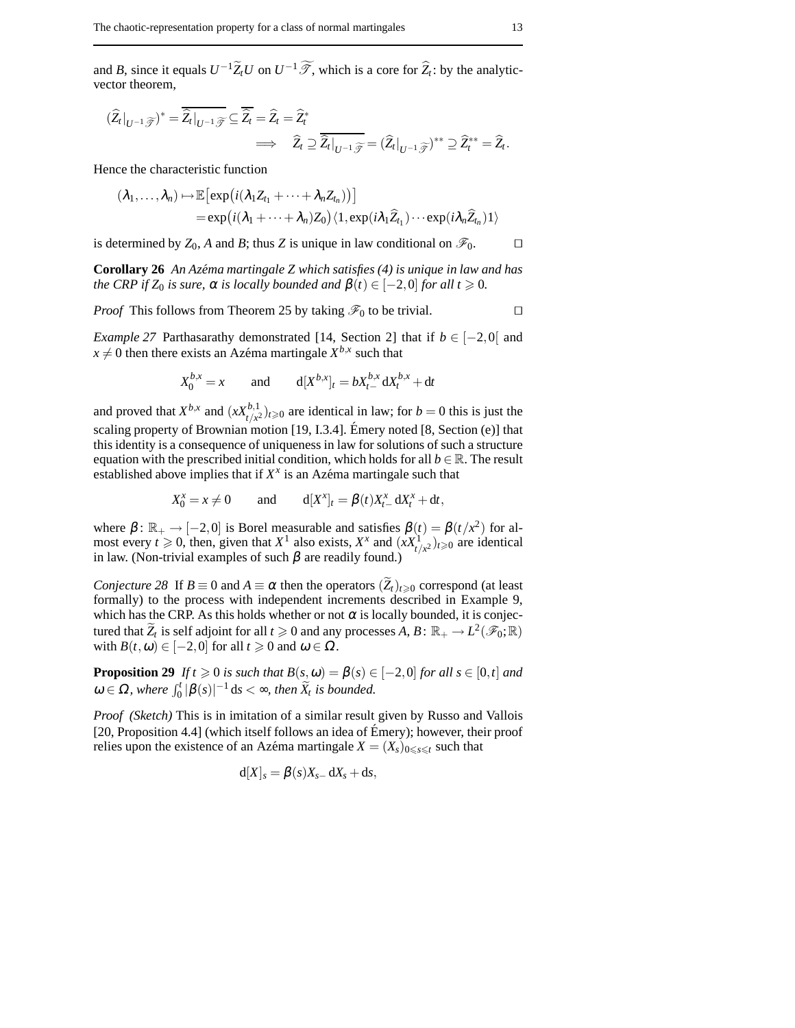and *B*, since it equals  $U^{-1}\widetilde{Z}_tU$  on  $U^{-1}\widetilde{\mathscr{T}}$ , which is a core for  $\widehat{Z}_t$ : by the analyticvector theorem,

$$
(\widehat{Z}_t|_{U^{-1}\widetilde{\mathscr{T}}})^* = \overline{\widehat{Z}_t|_{U^{-1}\widetilde{\mathscr{T}}}} \subseteq \overline{\widehat{Z}_t} = \widehat{Z}_t = \widehat{Z}_t^*
$$
  

$$
\implies \widehat{Z}_t \supseteq \overline{\widehat{Z}_t|_{U^{-1}\widetilde{\mathscr{T}}}} = (\widehat{Z}_t|_{U^{-1}\widetilde{\mathscr{T}}})^{**} \supseteq \widehat{Z}_t^{**} = \widehat{Z}_t.
$$

Hence the characteristic function

$$
(\lambda_1,\ldots,\lambda_n)\mapsto \mathbb{E}\big[\exp\big(i(\lambda_1Z_{t_1}+\cdots+\lambda_nZ_{t_n})\big)\big]
$$
  
=\exp\big(i(\lambda\_1+\cdots+\lambda\_n)Z\_0\big)\langle 1,\exp(i\lambda\_1\widehat{Z}\_{t\_1})\cdots\exp(i\lambda\_n\widehat{Z}\_{t\_n})1\rangle

is determined by  $Z_0$ , A and B; thus Z is unique in law conditional on  $\mathscr{F}_0$ .

**Corollary 26** *An Azema martingale Z which satisfies (4) is unique in law and has ´ the CRP if*  $Z_0$  *is sure,*  $\alpha$  *is locally bounded and*  $\beta(t) \in [-2,0]$  *for all t*  $\geq 0$ *.* 

*Proof* This follows from Theorem 25 by taking  $\mathcal{F}_0$  to be trivial.

*Example 27* Parthasarathy demonstrated [14, Section 2] that if *b* ∈ [−2,0[ and  $x \neq 0$  then there exists an Azéma martingale  $X^{b,x}$  such that

$$
X_0^{b,x} = x
$$
 and  $d[X^{b,x}]_t = bX_{t-}^{b,x} dX_t^{b,x} + dt$ 

and proved that  $X^{b,x}$  and  $(xX^{b,1}_{t/x})_{t\geq 0}$  are identical in law; for  $b=0$  this is just the scaling property of Brownian motion [19, I.3.4]. Émery noted  $[8, Section (e)]$  that this identity is a consequence of uniqueness in law for solutions of such a structure equation with the prescribed initial condition, which holds for all  $b \in \mathbb{R}$ . The result established above implies that if  $X^x$  is an Azéma martingale such that

$$
X_0^x = x \neq 0
$$
 and  $d[X^x]_t = \beta(t)X_{t-}^x dX_t^x + dt$ ,

where  $\beta$ :  $\mathbb{R}_+ \to [-2,0]$  is Borel measurable and satisfies  $\beta(t) = \beta(t/x^2)$  for almost every  $t \ge 0$ , then, given that  $X^1$  also exists,  $X^x$  and  $(xX^1_{t/x^2})_{t\ge 0}$  are identical in law. (Non-trivial examples of such  $\beta$  are readily found.)

*Conjecture 28* If  $B \equiv 0$  and  $A \equiv \alpha$  then the operators  $(\widetilde{Z}_t)_{t \geq 0}$  correspond (at least formally) to the process with independent increments described in Example 9, which has the CRP. As this holds whether or not  $\alpha$  is locally bounded, it is conjectured that  $\widetilde{Z}_t$  is self adjoint for all  $t \ge 0$  and any processes *A*,  $B: \mathbb{R}_+ \to L^2(\mathscr{F}_0; \mathbb{R})$ with  $B(t, \omega) \in [-2, 0]$  for all  $t \ge 0$  and  $\omega \in \Omega$ .

**Proposition 29** *If*  $t \ge 0$  *is such that*  $B(s, \omega) = \beta(s) \in [-2, 0]$  *for all s*  $\in [0, t]$  *and*  $\omega \in \Omega$ , where  $\int_0^t |\beta(s)|^{-1} ds < \infty$ , then  $\widetilde{X}_t$  is bounded.

*Proof (Sketch)* This is in imitation of a similar result given by Russo and Vallois [20, Proposition 4.4] (which itself follows an idea of Émery); however, their proof relies upon the existence of an Azéma martingale  $X = (X_s)_{0 \leq s \leq t}$  such that

$$
d[X]_s = \beta(s)X_{s-}dX_s + ds,
$$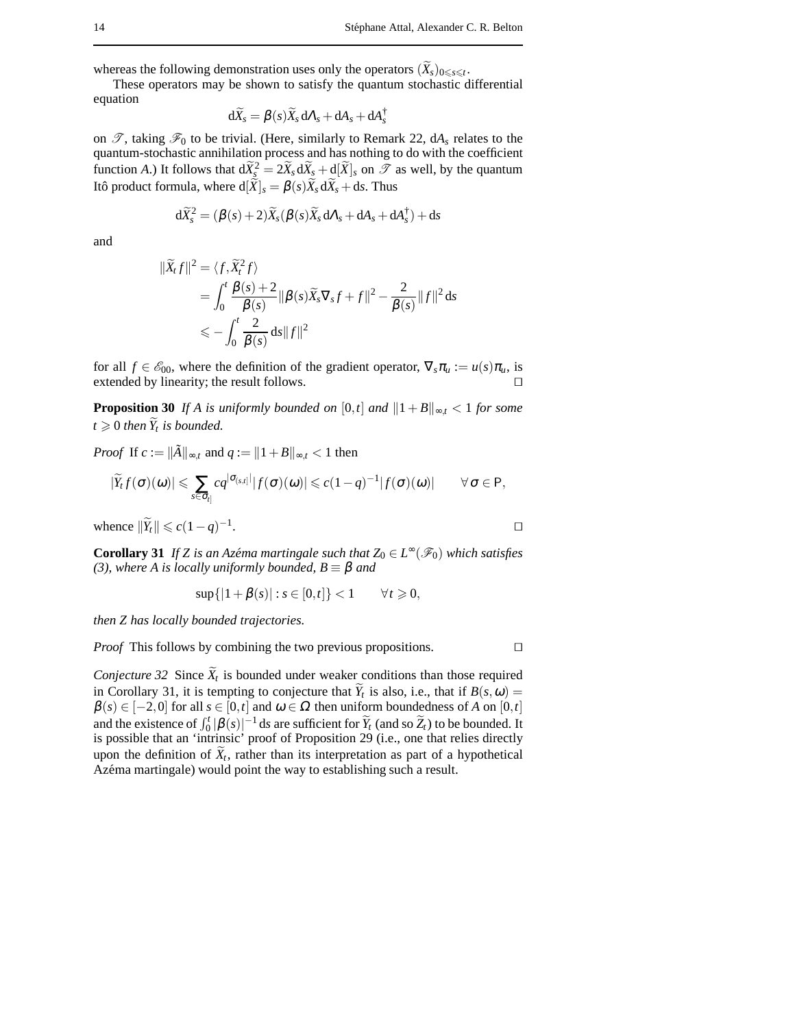whereas the following demonstration uses only the operators  $(X_s)_{0 \leq s \leq t}$ .

These operators may be shown to satisfy the quantum stochastic differential equation

$$
\mathrm{d}\widetilde{X}_s = \beta(s)\widetilde{X}_s\,\mathrm{d}\Lambda_s + \mathrm{d}\mathrm{A}_s + \mathrm{d}\mathrm{A}_s^\dagger
$$

on  $\mathscr{T}$ , taking  $\mathscr{F}_0$  to be trivial. (Here, similarly to Remark 22, dA<sub>s</sub> relates to the quantum-stochastic annihilation process and has nothing to do with the coefficient function *A*.) It follows that  $d\widetilde{X}_{3}^2 = 2\widetilde{X}_s d\widetilde{X}_s + d[\widetilde{X}]_s$  on  $\mathscr{T}$  as well, by the quantum Itô product formula, where  $d[\widetilde{X}]_s = \beta(s)\widetilde{X}_s d\widetilde{X}_s + ds$ . Thus

$$
d\widetilde{X}_{s}^{2} = (\beta(s) + 2)\widetilde{X}_{s}(\beta(s)\widetilde{X}_{s} d\Lambda_{s} + dA_{s} + dA_{s}^{\dagger}) + ds
$$

and

$$
\begin{aligned} \|\widetilde{X}_t f\|^2 &= \langle f, \widetilde{X}_t^2 f \rangle \\ &= \int_0^t \frac{\beta(s) + 2}{\beta(s)} \|\beta(s) \widetilde{X}_s \nabla_s f + f\|^2 - \frac{2}{\beta(s)} \|f\|^2 \,\mathrm{d}s \\ &\leqslant - \int_0^t \frac{2}{\beta(s)} \,\mathrm{d}s \|f\|^2 \end{aligned}
$$

for all  $f \in \mathcal{E}_{00}$ , where the definition of the gradient operator,  $\nabla_s \pi_u := u(s) \pi_u$ , is extended by linearity; the result follows.

**Proposition 30** *If A is uniformly bounded on* [0,*t*] *and*  $||1 + B||_{\infty,t} < 1$  *for some*  $t \geq 0$  *then*  $\overline{Y}_t$  *is bounded.* 

*Proof* If  $c := \|\tilde{A}\|_{\infty,t}$  and  $q := \|1 + B\|_{\infty,t} < 1$  then

$$
|\widetilde{Y}_t f(\sigma)(\omega)| \leqslant \sum_{s \in \sigma_{t} | G_{t,s} | |f(\sigma)(\omega)| \leqslant c(1-q)^{-1} |f(\sigma)(\omega)| \qquad \forall \sigma \in P,
$$

whence  $\|\widetilde{Y}_t\| \leqslant c(1-q)^{-1}$ . The contract of the contract of  $\Box$ 

**Corollary 31** *If Z* is an Azéma martingale such that  $Z_0 \in L^\infty(\mathscr{F}_0)$  which satisfies *(3), where A is locally uniformly bounded, B*  $\equiv$  *β and* 

$$
\sup\{|1+\beta(s)| : s \in [0,t]\} < 1 \qquad \forall t \geq 0,
$$

*then Z has locally bounded trajectories.*

*Proof* This follows by combining the two previous propositions.  $\Box$ 

*Conjecture 32* Since  $X_t$  is bounded under weaker conditions than those required in Corollary 31, it is tempting to conjecture that  $Y_t$  is also, i.e., that if  $B(s, \omega) =$  $\beta(s) \in [-2,0]$  for all  $s \in [0,t]$  and  $\omega \in \Omega$  then uniform boundedness of *A* on [0,*t*] and the existence of  $\int_0^t |\beta(s)|^{-1} ds$  are sufficient for  $\widetilde{Y}_t$  (and so  $\widetilde{Z}_t$ ) to be bounded. It is possible that an 'intrinsic' proof of Proposition 29 (i.e., one that relies directly upon the definition of  $X_t$ , rather than its interpretation as part of a hypothetical Azéma martingale) would point the way to establishing such a result.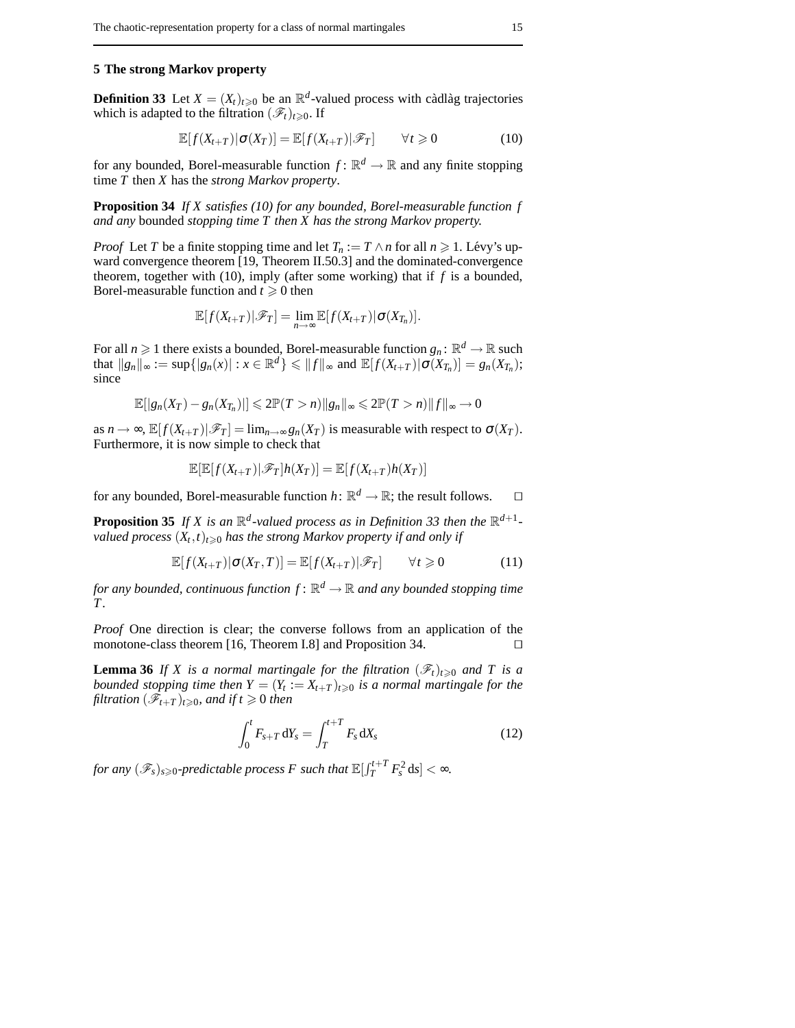## **5 The strong Markov property**

**Definition 33** Let  $X = (X_t)_{t \geq 0}$  be an  $\mathbb{R}^d$ -valued process with càdlàg trajectories which is adapted to the filtration  $(\mathscr{F}_t)_{t\geq0}$ . If

$$
\mathbb{E}[f(X_{t+T})|\sigma(X_T)] = \mathbb{E}[f(X_{t+T})|\mathscr{F}_T] \qquad \forall t \geq 0 \tag{10}
$$

for any bounded, Borel-measurable function  $f: \mathbb{R}^d \to \mathbb{R}$  and any finite stopping time *T* then *X* has the *strong Markov property*.

**Proposition 34** *If X satisfies (10) for any bounded, Borel-measurable function f and any* bounded *stopping time T then X has the strong Markov property.*

*Proof* Let *T* be a finite stopping time and let  $T_n := T \wedge n$  for all  $n \ge 1$ . Lévy's upward convergence theorem [19, Theorem II.50.3] and the dominated-convergence theorem, together with (10), imply (after some working) that if *f* is a bounded, Borel-measurable function and  $t \geq 0$  then

$$
\mathbb{E}[f(X_{t+T})|\mathscr{F}_T] = \lim_{n\to\infty} \mathbb{E}[f(X_{t+T})|\sigma(X_{T_n})].
$$

For all  $n \geq 1$  there exists a bounded, Borel-measurable function  $g_n: \mathbb{R}^d \to \mathbb{R}$  such  $\inf_{x} ||g_n||_{\infty} := \sup\{|g_n(x)| : x \in \mathbb{R}^d\} \le ||f||_{\infty} \text{ and } \mathbb{E}[f(X_{t+T}) | \sigma(X_{T_n})] = g_n(X_{T_n})$ ; since

$$
\mathbb{E}[|g_n(X_T)-g_n(X_{T_n})|] \leq 2\mathbb{P}(T>n)\|g_n\|_{\infty} \leq 2\mathbb{P}(T>n)\|f\|_{\infty} \to 0
$$

as  $n \to \infty$ ,  $\mathbb{E}[f(X_{t+T})|\mathscr{F}_T] = \lim_{n \to \infty} g_n(X_T)$  is measurable with respect to  $\sigma(X_T)$ . Furthermore, it is now simple to check that

$$
\mathbb{E}[\mathbb{E}[f(X_{t+T})|\mathscr{F}_T]h(X_T)]=\mathbb{E}[f(X_{t+T})h(X_T)]
$$

for any bounded, Borel-measurable function  $h: \mathbb{R}^d \to \mathbb{R}$ ; the result follows.  $\square$ 

**Proposition 35** If X is an  $\mathbb{R}^d$ -valued process as in Definition 33 then the  $\mathbb{R}^{d+1}$ *valued process*  $(X_t, t)_{t \geqslant 0}$  *has the strong Markov property if and only if* 

$$
\mathbb{E}[f(X_{t+T})|\sigma(X_T,T)] = \mathbb{E}[f(X_{t+T})|\mathscr{F}_T] \qquad \forall t \geq 0 \tag{11}
$$

for any bounded, continuous function  $f \colon \mathbb{R}^d \to \mathbb{R}$  and any bounded stopping time *T .*

*Proof* One direction is clear; the converse follows from an application of the monotone-class theorem [16, Theorem I.8] and Proposition 34.

**Lemma 36** *If X is a normal martingale for the filtration*  $(\mathscr{F}_t)_{t\geq0}$  *and T is a bounded stopping time then*  $Y = (Y_t := X_{t+T})_{t \geq 0}$  *is a normal martingale for the filtration*  $(\mathscr{F}_{t+T})_{t\geqslant0}$ *, and if*  $t\geqslant0$  *then* 

$$
\int_0^t F_{s+T} \, dY_s = \int_T^{t+T} F_s \, dX_s \tag{12}
$$

*for any*  $(\mathscr{F}_s)_{s\geqslant 0}$ -predictable process  $F$  such that  $\mathbb{E}[\int_T^{t+T} F_s^2 \, \mathrm{d}s] < \infty$ .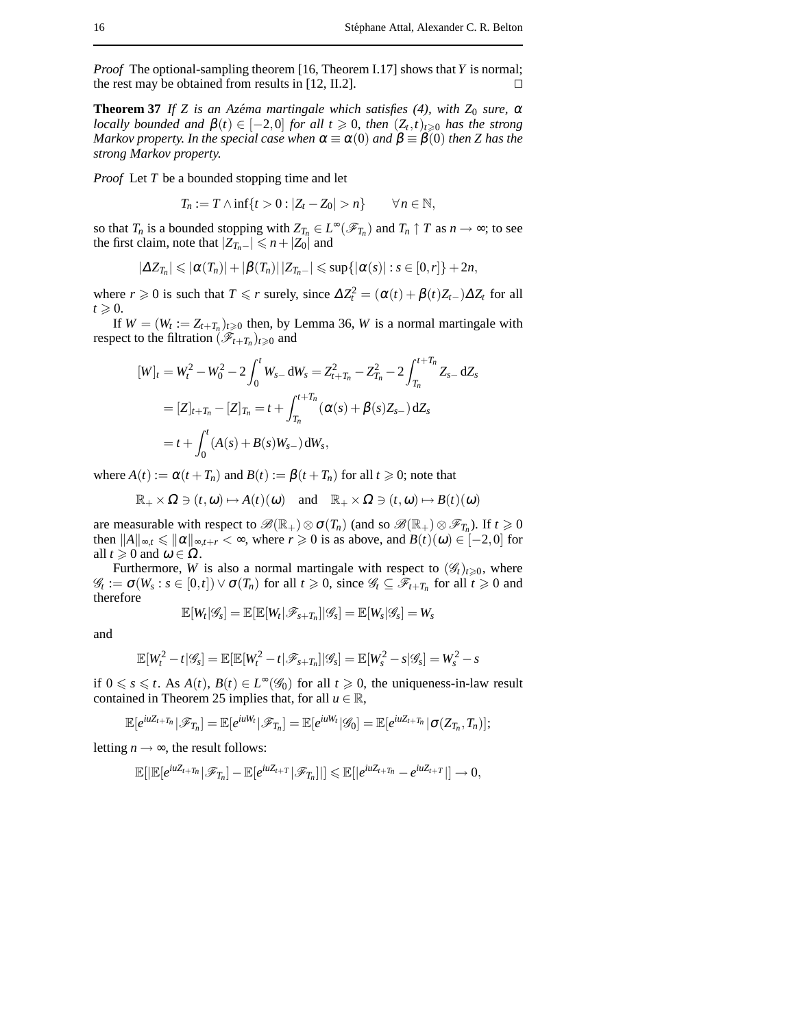*Proof* The optional-sampling theorem [16, Theorem I.17] shows that *Y* is normal; the rest may be obtained from results in [12, II.2].  $\Box$ 

**Theorem 37** *If Z is an Azéma martingale which satisfies (4), with*  $Z_0$  *sure,*  $\alpha$ *locally bounded and*  $\beta(t) \in [-2,0]$  *for all*  $t \ge 0$ , *then*  $(Z_t,t)_{t \ge 0}$  *has the strong Markov property. In the special case when*  $\alpha \equiv \alpha(0)$  *and*  $\beta \equiv \beta(0)$  *then Z* has the *strong Markov property.*

*Proof* Let *T* be a bounded stopping time and let

$$
T_n := T \wedge \inf\{t > 0 : |Z_t - Z_0| > n\} \qquad \forall n \in \mathbb{N},
$$

so that  $T_n$  is a bounded stopping with  $Z_{T_n} \in L^{\infty}(\mathscr{F}_{T_n})$  and  $T_n \uparrow T$  as  $n \to \infty$ ; to see the first claim, note that  $|Z_{T_n-}| \le n + |Z_0|$  and

$$
|\Delta Z_{T_n}| \leqslant |\alpha(T_n)| + |\beta(T_n)| |Z_{T_n-}| \leqslant \sup\{|\alpha(s)| : s \in [0,r]\} + 2n,
$$

where  $r \ge 0$  is such that  $T \le r$  surely, since  $\Delta Z_t^2 = (\alpha(t) + \beta(t)Z_{t-})\Delta Z_t$  for all  $t \geqslant 0$ .

If  $W = (W_t := Z_{t+T_n})_{t \geq 0}$  then, by Lemma 36, *W* is a normal martingale with respect to the filtration  $(\hat{\mathcal{F}}_{t+T_n})_{t\geq 0}$  and

$$
[W]_t = W_t^2 - W_0^2 - 2 \int_0^t W_{s-} dW_s = Z_{t+T_n}^2 - Z_{T_n}^2 - 2 \int_{T_n}^{t+T_n} Z_{s-} dZ_s
$$
  
=  $[Z]_{t+T_n} - [Z]_{T_n} = t + \int_{T_n}^{t+T_n} (\alpha(s) + \beta(s)Z_{s-}) dZ_s$   
=  $t + \int_0^t (A(s) + B(s)W_{s-}) dW_s$ ,

where  $A(t) := \alpha(t + T_n)$  and  $B(t) := \beta(t + T_n)$  for all  $t \ge 0$ ; note that

$$
\mathbb{R}_+ \times \Omega \ni (t, \omega) \mapsto A(t)(\omega) \quad \text{and} \quad \mathbb{R}_+ \times \Omega \ni (t, \omega) \mapsto B(t)(\omega)
$$

are measurable with respect to  $\mathscr{B}(\mathbb{R}_+) \otimes \sigma(T_n)$  (and so  $\mathscr{B}(\mathbb{R}_+) \otimes \mathscr{F}_{T_n}$ ). If  $t \geq 0$ then  $||A||_{\infty} \le ||\alpha||_{\infty}$ ,  $t \le \infty$ , where  $r \ge 0$  is as above, and  $B(t)(\omega) \in [-2,0]$  for all  $t \geqslant 0$  and  $\omega \in \Omega$ .

Furthermore, *W* is also a normal martingale with respect to  $(\mathscr{G}_t)_{t\geq 0}$ , where  $\mathscr{G}_t := \sigma(W_s : s \in [0, t]) \vee \sigma(T_n)$  for all  $t \ge 0$ , since  $\mathscr{G}_t \subseteq \mathscr{F}_{t+T_n}$  for all  $t \ge 0$  and therefore

$$
\mathbb{E}[W_t|\mathscr{G}_s] = \mathbb{E}[\mathbb{E}[W_t|\mathscr{F}_{s+T_n}]|\mathscr{G}_s] = \mathbb{E}[W_s|\mathscr{G}_s] = W_s
$$

and

$$
\mathbb{E}[W_t^2 - t | \mathscr{G}_s] = \mathbb{E}[\mathbb{E}[W_t^2 - t | \mathscr{F}_{s+T_n}] | \mathscr{G}_s] = \mathbb{E}[W_s^2 - s | \mathscr{G}_s] = W_s^2 - s
$$

if  $0 \le s \le t$ . As  $A(t)$ ,  $B(t) \in L^{\infty}(\mathscr{G}_0)$  for all  $t \ge 0$ , the uniqueness-in-law result contained in Theorem 25 implies that, for all  $u \in \mathbb{R}$ ,

$$
\mathbb{E}[e^{iuZ_{t+T_n}}|\mathscr{F}_{T_n}] = \mathbb{E}[e^{iuW_t}|\mathscr{F}_{T_n}] = \mathbb{E}[e^{iuW_t}|\mathscr{G}_0] = \mathbb{E}[e^{iuZ_{t+T_n}}|\sigma(Z_{T_n},T_n)];
$$

letting  $n \rightarrow \infty$ , the result follows:

$$
\mathbb{E}[|\mathbb{E}[e^{iuZ_t+T_n}|\mathscr{F}_{T_n}]-\mathbb{E}[e^{iuZ_t+T}|\mathscr{F}_{T_n}]|]\leqslant \mathbb{E}[|e^{iuZ_t+T_n}-e^{iuZ_t+T}|]\longrightarrow 0,
$$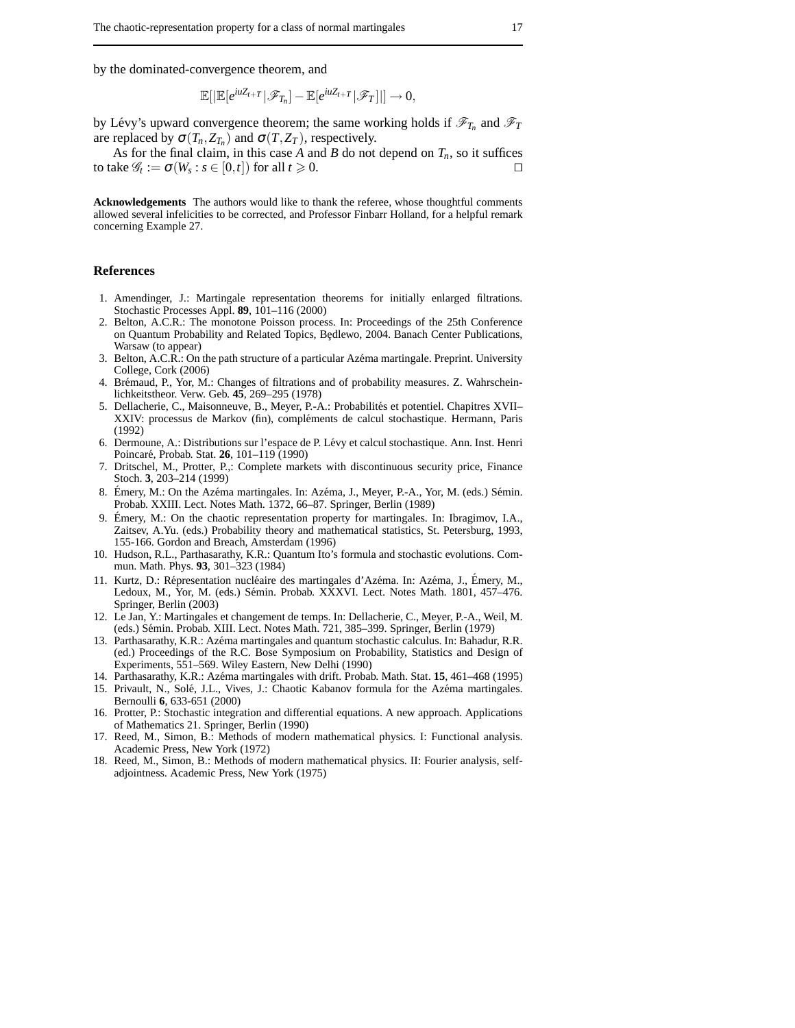by the dominated-convergence theorem, and

$$
\mathbb{E}[|\mathbb{E}[e^{iuZ_{t+T}}|\mathscr{F}_{T_n}]-\mathbb{E}[e^{iuZ_{t+T}}|\mathscr{F}_T]|] \to 0,
$$

by Lévy's upward convergence theorem; the same working holds if  $\mathcal{F}_{T_n}$  and  $\mathcal{F}_T$ are replaced by  $\sigma(T_n, Z_{T_n})$  and  $\sigma(T, Z_T)$ , respectively.

As for the final claim, in this case A and B do not depend on  $T_n$ , so it suffices to take  $\mathscr{G}_t := \sigma(W_s : s \in [0, t])$  for all  $t \ge 0$ .

**Acknowledgements** The authors would like to thank the referee, whose thoughtful comments allowed several infelicities to be corrected, and Professor Finbarr Holland, for a helpful remark concerning Example 27.

## **References**

- 1. Amendinger, J.: Martingale representation theorems for initially enlarged filtrations. Stochastic Processes Appl. **89**, 101–116 (2000)
- 2. Belton, A.C.R.: The monotone Poisson process. In: Proceedings of the 25th Conference on Quantum Probability and Related Topics, Bedlewo, 2004. Banach Center Publications, Warsaw (to appear)
- 3. Belton, A.C.R.: On the path structure of a particular Azéma martingale. Preprint. University College, Cork (2006)
- 4. Brémaud, P., Yor, M.: Changes of filtrations and of probability measures. Z. Wahrscheinlichkeitstheor. Verw. Geb. **45**, 269–295 (1978)
- 5. Dellacherie, C., Maisonneuve, B., Meyer, P.-A.: Probabilités et potentiel. Chapitres XVII– XXIV: processus de Markov (fin), compléments de calcul stochastique. Hermann, Paris (1992)
- 6. Dermoune, A.: Distributions sur l'espace de P. Lévy et calcul stochastique. Ann. Inst. Henri Poincar´e, Probab. Stat. **26**, 101–119 (1990)
- 7. Dritschel, M., Protter, P.,: Complete markets with discontinuous security price, Finance Stoch. **3**, 203–214 (1999)
- 8. Émery, M.: On the Azéma martingales. In: Azéma, J., Meyer, P.-A., Yor, M. (eds.) Sémin. Probab. XXIII. Lect. Notes Math. 1372, 66–87. Springer, Berlin (1989)
- 9. Émery, M.: On the chaotic representation property for martingales. In: Ibragimov, I.A., Zaitsev, A.Yu. (eds.) Probability theory and mathematical statistics, St. Petersburg, 1993, 155-166. Gordon and Breach, Amsterdam (1996)
- 10. Hudson, R.L., Parthasarathy, K.R.: Quantum Ito's formula and stochastic evolutions. Commun. Math. Phys. **93**, 301–323 (1984)
- 11. Kurtz, D.: Répresentation nucléaire des martingales d'Azéma. In: Azéma, J., Émery, M., Ledoux, M., Yor, M. (eds.) Sémin. Probab. XXXVI. Lect. Notes Math. 1801, 457-476. Springer, Berlin (2003)
- 12. Le Jan, Y.: Martingales et changement de temps. In: Dellacherie, C., Meyer, P.-A., Weil, M. (eds.) Sémin. Probab. XIII. Lect. Notes Math. 721, 385-399. Springer, Berlin (1979)
- 13. Parthasarathy, K.R.: Azéma martingales and quantum stochastic calculus. In: Bahadur, R.R. (ed.) Proceedings of the R.C. Bose Symposium on Probability, Statistics and Design of Experiments, 551–569. Wiley Eastern, New Delhi (1990)
- 14. Parthasarathy, K.R.: Az´ema martingales with drift. Probab. Math. Stat. **15**, 461–468 (1995) 15. Privault, N., Solé, J.L., Vives, J.: Chaotic Kabanov formula for the Azéma martingales. Bernoulli **6**, 633-651 (2000)
- 16. Protter, P.: Stochastic integration and differential equations. A new approach. Applications of Mathematics 21. Springer, Berlin (1990)
- 17. Reed, M., Simon, B.: Methods of modern mathematical physics. I: Functional analysis. Academic Press, New York (1972)
- 18. Reed, M., Simon, B.: Methods of modern mathematical physics. II: Fourier analysis, selfadjointness. Academic Press, New York (1975)